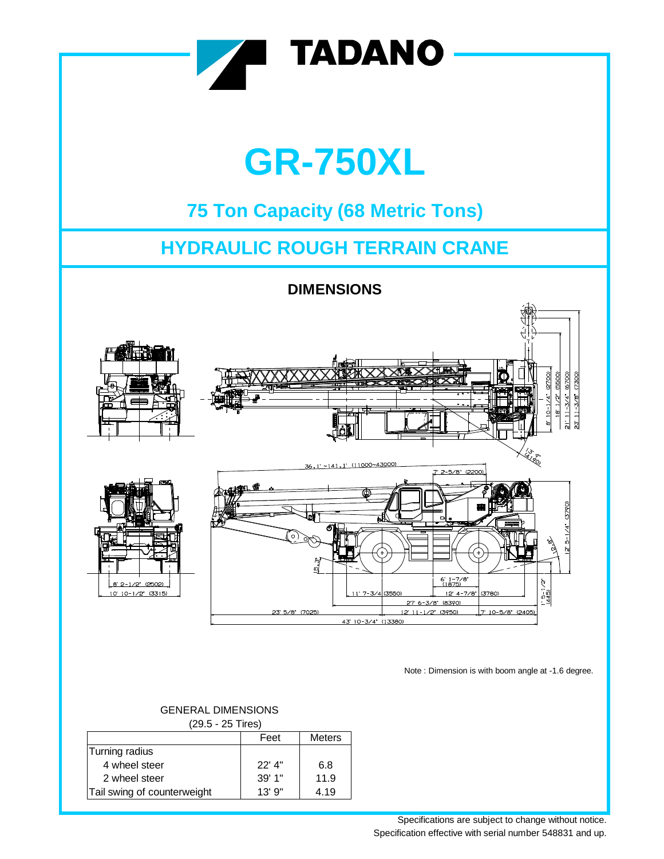

| (29.5 - 25 Tires)           |          |               |  |  |  |  |  |  |  |  |  |
|-----------------------------|----------|---------------|--|--|--|--|--|--|--|--|--|
|                             | Feet     | <b>Meters</b> |  |  |  |  |  |  |  |  |  |
| Turning radius              |          |               |  |  |  |  |  |  |  |  |  |
| 4 wheel steer               | $22'$ 4" | 6.8           |  |  |  |  |  |  |  |  |  |
| 2 wheel steer               | 39'1"    | 11.9          |  |  |  |  |  |  |  |  |  |
| Tail swing of counterweight | 13'9''   | 4.19          |  |  |  |  |  |  |  |  |  |

Specifications are subject to change without notice. Specification effective with serial number 548831 and up.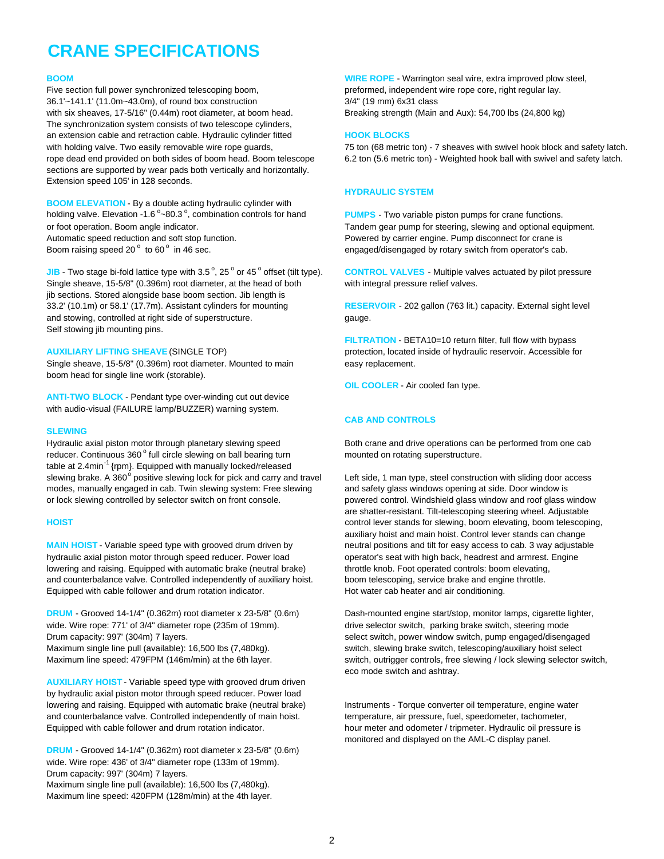# **CRANE SPECIFICATIONS**

Five section full power synchronized telescoping boom, example and preformed, independent wire rope core, right regular lay. 36.1'~141.1' (11.0m~43.0m), of round box construction 3/4" (19 mm) 6x31 class with six sheaves, 17-5/16" (0.44m) root diameter, at boom head. Breaking strength (Main and Aux): 54,700 lbs (24,800 kg) The synchronization system consists of two telescope cylinders, an extension cable and retraction cable. Hydraulic cylinder fitted **HOOK BLOCKS** sections are supported by wear pads both vertically and horizontally. Extension speed 105' in 128 seconds.

**BOOM ELEVATION** - By a double acting hydraulic cylinder with holding valve. Elevation -1.6 $^{\circ}$ ~80.3 $^{\circ}$ or foot operation. Boom angle indicator. Tandem gear pump for steering, slewing and optional equipment. Automatic speed reduction and soft stop function. Pure example and the Powered by carrier engine. Pump disconnect for crane is Boom raising speed 20 $^{\circ}$  to 60 $^{\circ}$ 

**JIB** - Two stage bi-fold lattice type with 3.5 $^{\circ}$ , 25 $^{\circ}$  or 45 $^{\circ}$ Single sheave, 15-5/8" (0.396m) root diameter, at the head of both with integral pressure relief valves. jib sections. Stored alongside base boom section. Jib length is 33.2' (10.1m) or 58.1' (17.7m). Assistant cylinders for mounting **RESERVOIR** - 202 gallon (763 lit.) capacity. External sight level and stowing, controlled at right side of superstructure. gauge. Self stowing jib mounting pins.

Single sheave, 15-5/8" (0.396m) root diameter. Mounted to main easy replacement. boom head for single line work (storable).

**ANTI-TWO BLOCK** - Pendant type over-winding cut out device with audio-visual (FAILURE lamp/BUZZER) warning system.

### **SLEWING**

Hydraulic axial piston motor through planetary slewing speed Both crane and drive operations can be performed from one cab reducer. Continuous 360° full circle slewing on ball bearing turn mounted on rotating superstructure. table at 2.4min<sup>-1</sup> {rpm}. Equipped with manually locked/released slewing brake. A 360° positive slewing lock for pick and carry and travel modes, manually engaged in cab. Twin slewing system: Free slewing and safety glass windows opening at side. Door window is or lock slewing controlled by selector switch on front console. powered control. Windshield glass window and roof glass window

**MAIN HOIST** - Variable speed type with grooved drum driven by neutral positions and tilt for easy access to cab. 3 way adjustable hydraulic axial piston motor through speed reducer. Power load operator's seat with high back, headrest and armrest. Engine lowering and raising. Equipped with automatic brake (neutral brake) throttle knob. Foot operated controls: boom elevating, and counterbalance valve. Controlled independently of auxiliary hoist. boom telescoping, service brake and engine throttle. Equipped with cable follower and drum rotation indicator. Hot water cab heater and air conditioning.

**DRUM** - Grooved 14-1/4" (0.362m) root diameter x 23-5/8" (0.6m) Dash-mounted engine start/stop, monitor lamps, cigarette lighter, wide. Wire rope: 771' of 3/4" diameter rope (235m of 19mm). drive selector switch, parking brake switch, steering mode Drum capacity: 997' (304m) 7 layers. select switch, power window switch, pump engaged/disengaged Maximum single line pull (available): 16,500 lbs (7,480kg). switch, slewing brake switch, telescoping/auxiliary hoist select

**AUXILIARY HOIST** - Variable speed type with grooved drum driven by hydraulic axial piston motor through speed reducer. Power load lowering and raising. Equipped with automatic brake (neutral brake) linstruments - Torque converter oil temperature, engine water and counterbalance valve. Controlled independently of main hoist. themperature, air pressure, fuel, speedometer, tachometer, Equipped with cable follower and drum rotation indicator. https://www.meter and odometer / tripmeter. Hydraulic oil pressure is

**DRUM** - Grooved 14-1/4" (0.362m) root diameter x 23-5/8" (0.6m) wide. Wire rope: 436' of 3/4" diameter rope (133m of 19mm). Drum capacity: 997' (304m) 7 layers. Maximum single line pull (available): 16,500 lbs (7,480kg). Maximum line speed: 420FPM (128m/min) at the 4th layer.

**BOOM** BOOM **WIRE ROPE** - Warrington seal wire, extra improved plow steel,

with holding valve. Two easily removable wire rope guards, The May and Solometric ton) - 7 sheaves with swivel hook block and safety latch. rope dead end provided on both sides of boom head. Boom telescope 6.2 ton (5.6 metric ton) - Weighted hook ball with swivel and safety latch.

### **HYDRAULIC SYSTEM**

PUMPS - Two variable piston pumps for crane functions. engaged/disengaged by rotary switch from operator's cab.

**CONTROL VALVES** - Multiple valves actuated by pilot pressure

**FILTRATION** - BETA10=10 return filter, full flow with bypass **AUXILIARY LIFTING SHEAVE** (SINGLE TOP) protection, located inside of hydraulic reservoir. Accessible for

**OIL COOLER** - Air cooled fan type.

### **CAB AND CONTROLS**

Left side, 1 man type, steel construction with sliding door access are shatter-resistant. Tilt-telescoping steering wheel. Adjustable **HOIST** control lever stands for slewing, boom elevating, boom telescoping, auxiliary hoist and main hoist. Control lever stands can change

Maximum line speed: 479FPM (146m/min) at the 6th layer. switch, outrigger controls, free slewing / lock slewing selector switch, eco mode switch and ashtray.

monitored and displayed on the AML-C display panel.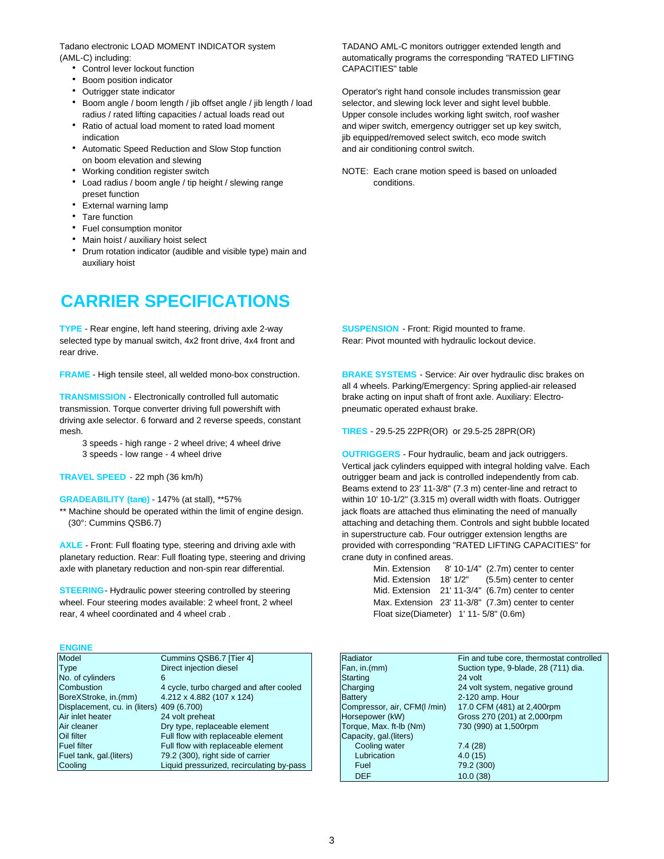Tadano electronic LOAD MOMENT INDICATOR system TADANO AML-C monitors outrigger extended length and

- Control lever lockout function CAPACITIES" table
- Boom position indicator
- 
- Boom angle / boom length / jib offset angle / jib length / load selector, and slewing lock lever and sight level bubble. radius / rated lifting capacities / actual loads read out Upper console includes working light switch, roof washer
- 
- Automatic Speed Reduction and Slow Stop function and air conditioning control switch. on boom elevation and slewing
- 
- Load radius / boom angle / tip height / slewing range conditions. preset function
- External warning lamp
- Tare function
- Fuel consumption monitor
- Main hoist / auxiliary hoist select
- Drum rotation indicator (audible and visible type) main and auxiliary hoist

## **CARRIER SPECIFICATIONS**

**TYPE** - Rear engine, left hand steering, driving axle 2-way **SUSPENSION** - Front: Rigid mounted to frame. selected type by manual switch, 4x2 front drive, 4x4 front and Rear: Pivot mounted with hydraulic lockout device. rear drive.

**FRAME** - High tensile steel, all welded mono-box construction. **BRAKE SYSTEMS** - Service: Air over hydraulic disc brakes on

**TRANSMISSION** - Electronically controlled full automatic brake acting on input shaft of front axle. Auxiliary: Electrotransmission. Torque converter driving full powershift with pneumatic operated exhaust brake. driving axle selector. 6 forward and 2 reverse speeds, constant mesh. **TIRES** - 29.5-25 22PR(OR) or 29.5-25 28PR(OR)

- 3 speeds high range 2 wheel drive; 4 wheel drive
- 

planetary reduction. Rear: Full floating type, steering and driving crane duty in confined areas. axle with planetary reduction and non-spin rear differential.

**STEERING**- Hydraulic power steering controlled by steering wheel. Four steering modes available: 2 wheel front, 2 wheel rear, 4 wheel coordinated and 4 wheel crab . Float size(Diameter) 1' 11- 5/8" (0.6m)

### **ENGINE**

| Model                                     | Cummins QSB6.7 [Tier 4]                   | Radiator                    | Fin and tube core, thermostat contr  |
|-------------------------------------------|-------------------------------------------|-----------------------------|--------------------------------------|
| <b>Type</b>                               | Direct injection diesel                   | Fan, in.(mm)                | Suction type, 9-blade, 28 (711) dia. |
| No. of cylinders                          |                                           | <b>Starting</b>             | 24 volt                              |
| Combustion                                | 4 cycle, turbo charged and after cooled   | Charging                    | 24 volt system, negative ground      |
| BoreXStroke, in.(mm)                      | 4.212 x 4.882 (107 x 124)                 | <b>Battery</b>              | 2-120 amp. Hour                      |
| Displacement, cu. in (liters) 409 (6.700) |                                           | Compressor, air, CFM(I/min) | 17.0 CFM (481) at 2,400rpm           |
| Air inlet heater                          | 24 volt preheat                           | Horsepower (kW)             | Gross 270 (201) at 2,000rpm          |
| Air cleaner                               | Dry type, replaceable element             | Torque, Max. ft-lb (Nm)     | 730 (990) at 1,500rpm                |
| Oil filter                                | Full flow with replaceable element        | Capacity, gal. (liters)     |                                      |
| <b>Fuel filter</b>                        | Full flow with replaceable element        | Cooling water               | 7.4(28)                              |
| Fuel tank, gal. (liters)                  | 79.2 (300), right side of carrier         | Lubrication                 | 4.0(15)                              |
| Cooling                                   | Liquid pressurized, recirculating by-pass | Fuel                        | 79.2 (300)                           |

(AML-C) including: automatically programs the corresponding "RATED LIFTING

 Outrigger state indicator Operator's right hand console includes transmission gear • Ratio of actual load moment to rated load moment and wiper switch, emergency outrigger set up key switch, indication indication interved select switch, eco mode switch

• Working condition register switch NOTE: Each crane motion speed is based on unloaded

all 4 wheels. Parking/Emergency: Spring applied-air released

3 speeds - low range - 4 wheel drive **OUTRIGGERS** - Four hydraulic, beam and jack outriggers. Vertical jack cylinders equipped with integral holding valve. Each **TRAVEL SPEED** - 22 mph (36 km/h) *Demaya below the controlled independently from cab. COND controlled independently from cab.* Beams extend to 23' 11-3/8" (7.3 m) center-line and retract to **GRADEABILITY (tan)** - 147% (at stall), \*\*57% within 10' 10-1/2" (3.315 m) overall width with floats. Outrigger \*\* Machine should be operated within the limit of engine design. jack floats are attached thus eliminating the need of manually (30°: Cummins QSB6.7) **attaching and detaching them. Controls and sight bubble located** in superstructure cab. Four outrigger extension lengths are AXLE - Front: Full floating type, steering and driving axle with provided with corresponding "RATED LIFTING CAPACITIES" for

| Min. Extension                                |          | 8' 10-1/4" (2.7m) center to center                 |
|-----------------------------------------------|----------|----------------------------------------------------|
| Mid. Extension                                | 18' 1/2" | (5.5m) center to center                            |
|                                               |          | Mid. Extension 21' 11-3/4" (6.7m) center to center |
|                                               |          | Max. Extension 23' 11-3/8" (7.3m) center to center |
| Float size(Diameter) $1'$ 11 - $5/8''$ (0.6m) |          |                                                    |

| Fin and tube core, thermostat controlled<br>Suction type, 9-blade, 28 (711) dia. |
|----------------------------------------------------------------------------------|
|                                                                                  |
|                                                                                  |
|                                                                                  |
| 24 volt system, negative ground                                                  |
|                                                                                  |
| 17.0 CFM (481) at 2,400rpm                                                       |
| Gross 270 (201) at 2,000rpm                                                      |
|                                                                                  |
|                                                                                  |
|                                                                                  |
|                                                                                  |
|                                                                                  |
|                                                                                  |
|                                                                                  |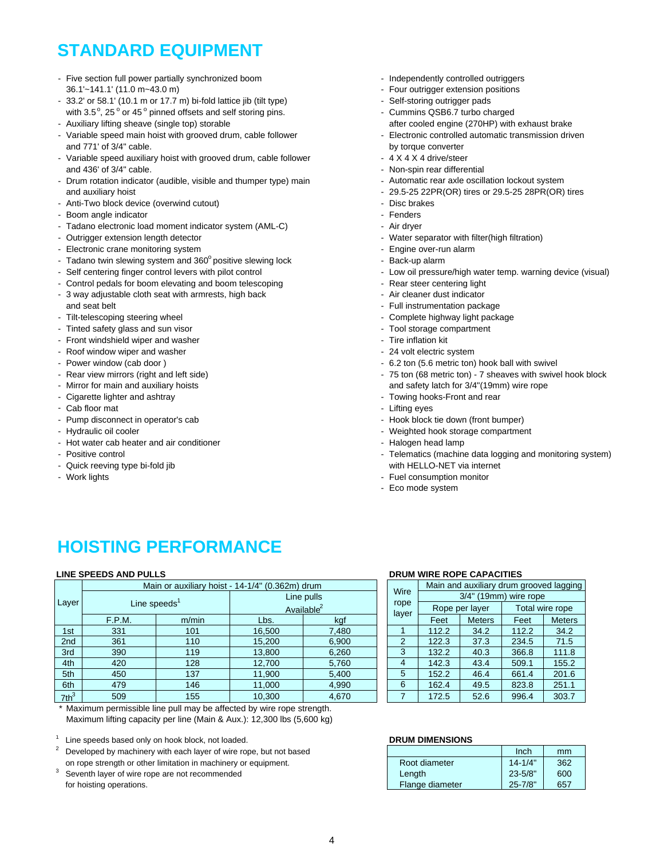# **STANDARD EQUIPMENT**

- Five section full power partially synchronized boom Independently controlled outriggers 36.1'~141.1' (11.0 m~43.0 m) - Four outrigger extension positions
- 33.2' or 58.1' (10.1 m or 17.7 m) bi-fold lattice jib (tilt type) Self-storing outrigger pads
- with 3.5°, 25° or 45° pinned offsets and self storing pins. The cummins QSB6.7 turbo charged
- Variable speed main hoist with grooved drum, cable follower - Flectronic controlled automatic transmission driven and 771' of 3/4" cable. by torque converter
- Variable speed auxiliary hoist with grooved drum, cable follower 4 X 4 X 4 X 4 drive/steer and 436' of 3/4" cable.  $\blacksquare$
- Drum rotation indicator (audible, visible and thumper type) main Automatic rear axle oscillation lockout system and auxiliary hoist and auxiliary hoist and auxiliary hoist of the state of 29.5-25 22PR(OR) tires or 29.5-25 28PR(OR) tires
- Anti-Two block device (overwind cutout) example and the state of the Disc brakes
- Boom angle indicator Fenders Fenders Fenders Fenders Fenders Fenders Fenders Fenders Fenders
- Tadano electronic load moment indicator system (AML-C) Air dryer
- 
- Electronic crane monitoring system example and the state of the engine over-run alarm
- Tadano twin slewing system and 360° positive slewing lock Back-up alarm
- 
- Control pedals for boom elevating and boom telescoping The article Rear steer centering light
- 3 way adjustable cloth seat with armrests, high back Air cleaner dust indicator and seat belt - Full instrumentation package
- 
- Tinted safety glass and sun visor Tool storage compartment
- Front windshield wiper and washer Tire inflation kit between the state of the Tire inflation kit
- Roof window wiper and washer  $\sim$  24 volt electric system
- 
- 
- 
- 
- 
- 
- 
- Hot water cab heater and air conditioner Halogen head lamp
- 
- 
- 
- 
- 
- 
- 
- Auxiliary lifting sheave (single top) storable after and the after cooled engine (270HP) with exhaust brake
	-
	-
	-
	-
	-
	-
	-
	-
- Outrigger extension length detector Water separator with filter(high filtration)
	-
	-
- Self centering finger control levers with pilot control Low oil pressure/high water temp. warning device (visual)
	-
	-
	-
- Tilt-telescoping steering wheel  $\blacksquare$  Complete highway light package
	-
	-
	-
- Power window (cab door ) The same state of the state of the state of the SM set of the SM set of the SM set of the SM set of the SM set of the SM set of the SM set of the SM set of the SM set of the SM set of the SM set
- Rear view mirrors (right and left side) 75 ton (68 metric ton) 7 sheaves with swivel hook block - Mirror for main and auxiliary hoists and safety latch for 3/4"(19mm) wire rope
	-
	-
- Pump disconnect in operator's cab Hook block tie down (front bumper)
- Hydraulic oil cooler  $\blacksquare$ 
	-
- Positive control **Figure 2018** Telematics (machine data logging and monitoring system) - Quick reeving type bi-fold jib with HELLO-NET via internet
- Work lights Fuel consumption monitor Fuel consumption monitor Fuel consumption monitor
	- Eco mode system

# **HOISTING PERFORMANCE**

### **LINE SPEEDS AND PULLS**

|                 |                 | Main or auxiliary hoist - 14-1/4" (0.362m) drum |        |                        |  |                | Main and auxiliary drum grooved laggin |                |                 |       |  |  |  |
|-----------------|-----------------|-------------------------------------------------|--------|------------------------|--|----------------|----------------------------------------|----------------|-----------------|-------|--|--|--|
|                 |                 |                                                 |        | Line pulls             |  | Wire           | 3/4" (19mm) wire rope                  |                |                 |       |  |  |  |
| Layer           | Line speeds $1$ |                                                 |        | Available <sup>2</sup> |  | rope<br>layer  |                                        | Rope per layer | Total wire rope |       |  |  |  |
|                 | F.P.M.          | m/min                                           | Lbs.   | kgf                    |  | Feet           | <b>Meters</b>                          | Feet           | Meters          |       |  |  |  |
| 1st             | 331             | 101                                             | 16.500 | 7,480                  |  |                | 112.2                                  | 34.2           | 112.2           | 34.2  |  |  |  |
| 2 <sub>nd</sub> | 361             | 110                                             | 15,200 | 6,900                  |  | $\overline{2}$ | 122.3                                  | 37.3           | 234.5           | 71.5  |  |  |  |
| 3rd             | 390             | 119                                             | 13,800 | 6,260                  |  | 3              | 132.2                                  | 40.3           | 366.8           | 111.8 |  |  |  |
| 4th             | 420             | 128                                             | 12,700 | 5,760                  |  | 4              | 142.3                                  | 43.4           | 509.1           | 155.2 |  |  |  |
| 5th             | 450             | 137                                             | 11,900 | 5,400                  |  | 5              | 152.2                                  | 46.4           | 661.4           | 201.6 |  |  |  |
| 6th             | 479             | 146                                             | 11,000 | 4,990                  |  | 6              | 162.4                                  | 49.5           | 823.8           | 251.1 |  |  |  |
| $7th^3$         | 509             | 155                                             | 10,300 | 4,670                  |  |                | 172.5                                  | 52.6           | 996.4           | 303.7 |  |  |  |

## **DRUM WIRE ROPE CAPACITIES**

|       | Main and auxiliary drum grooved lagging<br>Wire |       |                       |       |                 |  |  |  |  |  |  |
|-------|-------------------------------------------------|-------|-----------------------|-------|-----------------|--|--|--|--|--|--|
|       |                                                 |       | 3/4" (19mm) wire rope |       |                 |  |  |  |  |  |  |
|       | rope<br>layer                                   |       | Rope per layer        |       | Total wire rope |  |  |  |  |  |  |
| kgf   |                                                 | Feet  | <b>Meters</b>         | Feet  | <b>Meters</b>   |  |  |  |  |  |  |
| 7,480 |                                                 | 112.2 | 34.2                  | 112.2 | 34.2            |  |  |  |  |  |  |
| 6,900 | 2                                               | 122.3 | 37.3                  | 234.5 | 71.5            |  |  |  |  |  |  |
| 6,260 | 3                                               | 132.2 | 40.3                  | 366.8 | 111.8           |  |  |  |  |  |  |
| 5,760 | 4                                               | 142.3 | 43.4                  | 509.1 | 155.2           |  |  |  |  |  |  |
| 5,400 | 5                                               | 152.2 | 46.4                  | 661.4 | 201.6           |  |  |  |  |  |  |
| 4,990 | 6                                               | 162.4 | 49.5                  | 823.8 | 251.1           |  |  |  |  |  |  |
| 4.670 |                                                 | 172.5 | 52.6                  | 996.4 | 303.7           |  |  |  |  |  |  |

Maximum permissible line pull may be affected by wire rope strength. Maximum lifting capacity per line (Main & Aux.): 12,300 lbs (5,600 kg)

<sup>1</sup> Line speeds based only on hook block, not loaded. **DRUM DIMENSIONS**

- $2^2$  Developed by machinery with each layer of wire rope, but not based on rope strength or other limitation in machinery or equipment.
- $3$  Seventh layer of wire rope are not recommended for hoisting operations.

|                 | Inch        | mm  |
|-----------------|-------------|-----|
| Root diameter   | $14 - 1/4"$ | 362 |
| Length          | $23 - 5/8"$ | 600 |
| Flange diameter | $25 - 7/8"$ | 657 |

- Cigarette lighter and ashtray  $\overline{a}$  - Towing hooks-Front and rear - Cab floor mat  $\sim$  Lifting eyes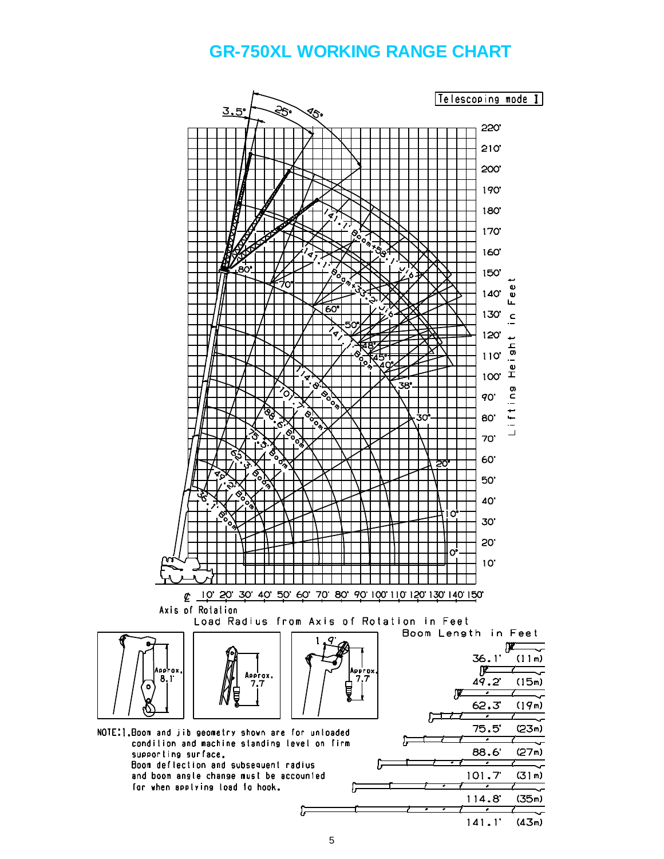## **GR-750XL WORKING RANGE CHART**

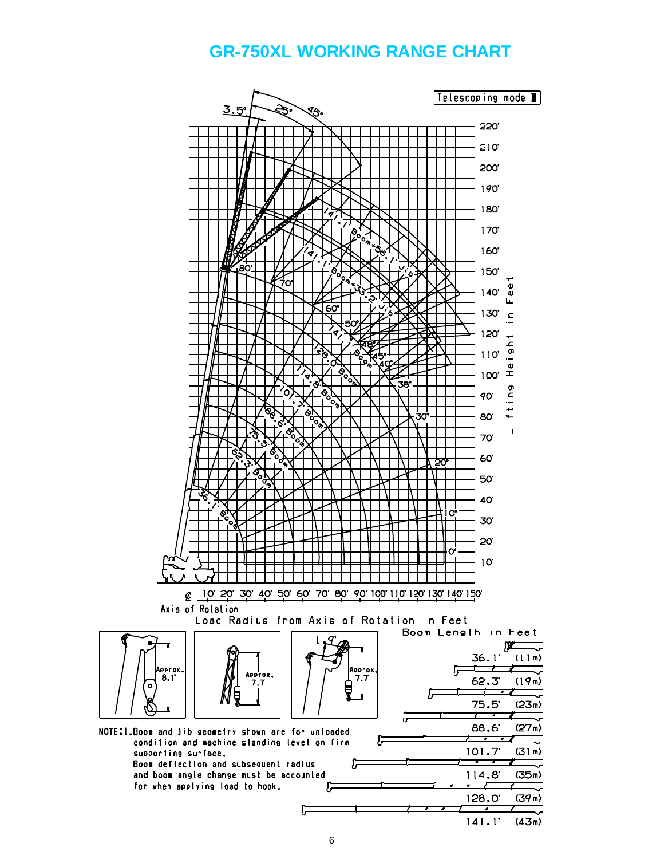### **GR-750XL WORKING RANGE CHART**

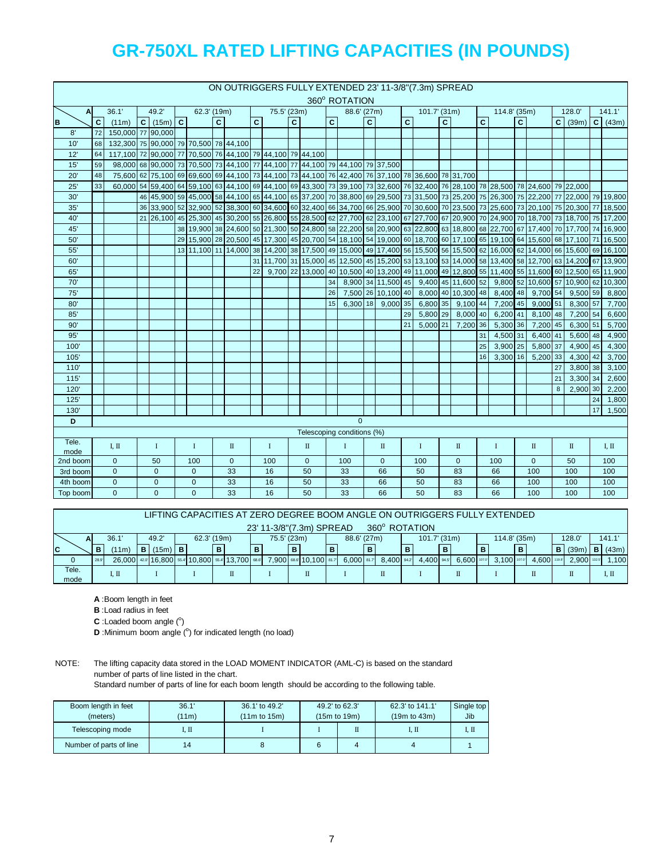|              |                |                                                                              |                            |                                     |  |                     |                |              |                |             |              |                            |    |               |                |                    |                | ON OUTRIGGERS FULLY EXTENDED 23' 11-3/8" (7.3m) SPREAD                                                                                                                                                                                             |                |                    |              |              |                |                                     |    |                                           |    |        |
|--------------|----------------|------------------------------------------------------------------------------|----------------------------|-------------------------------------|--|---------------------|----------------|--------------|----------------|-------------|--------------|----------------------------|----|---------------|----------------|--------------------|----------------|----------------------------------------------------------------------------------------------------------------------------------------------------------------------------------------------------------------------------------------------------|----------------|--------------------|--------------|--------------|----------------|-------------------------------------|----|-------------------------------------------|----|--------|
|              |                |                                                                              | 62.3' (19m)<br>75.5' (23m) |                                     |  |                     |                |              |                |             |              |                            |    | 360° ROTATION |                |                    |                |                                                                                                                                                                                                                                                    |                |                    |              |              |                |                                     |    |                                           |    |        |
| $\mathbf{A}$ |                | 36.1'                                                                        |                            | 49.2'                               |  |                     |                |              |                |             |              |                            |    | 88.6' (27m)   |                |                    |                | $101.7$ (31m)                                                                                                                                                                                                                                      |                |                    |              | 114.8' (35m) |                |                                     |    | 128.0'                                    |    | 141.1' |
| B            | $\overline{c}$ | (11m)                                                                        |                            | $\overline{C}$ (15m) $\overline{C}$ |  |                     | $\overline{c}$ |              | $\overline{c}$ |             | $\mathbf{C}$ |                            | C. |               | $\overline{c}$ |                    | $\overline{c}$ |                                                                                                                                                                                                                                                    | $\overline{c}$ |                    | $\mathbf{C}$ |              | $\overline{c}$ |                                     |    | $\overline{C}$ (39m) $\overline{C}$ (43m) |    |        |
| 8'           | 72             | 150.000 77 90.000                                                            |                            |                                     |  |                     |                |              |                |             |              |                            |    |               |                |                    |                |                                                                                                                                                                                                                                                    |                |                    |              |              |                |                                     |    |                                           |    |        |
| 10'          | 68             | 132,300 75 90,000 79 70,500 78 44,100                                        |                            |                                     |  |                     |                |              |                |             |              |                            |    |               |                |                    |                |                                                                                                                                                                                                                                                    |                |                    |              |              |                |                                     |    |                                           |    |        |
| 12'          | 64             | 117,100 72 90,000 77 70,500 76 44,100 79 44,100 79 44,100                    |                            |                                     |  |                     |                |              |                |             |              |                            |    |               |                |                    |                |                                                                                                                                                                                                                                                    |                |                    |              |              |                |                                     |    |                                           |    |        |
| 15'          | 59             | 98,000 68 90,000 73 70,500 73 44,100 77 44,100 77 44,100 79 44,100 79 37,500 |                            |                                     |  |                     |                |              |                |             |              |                            |    |               |                |                    |                |                                                                                                                                                                                                                                                    |                |                    |              |              |                |                                     |    |                                           |    |        |
| 20'          | 48             |                                                                              |                            |                                     |  |                     |                |              |                |             |              |                            |    |               |                |                    |                | 75,600 62 75,100 69 69,600 69 44,100 73 44,100 73 44,100 76 42,400 76 37,100 78 36,600 78 31,700                                                                                                                                                   |                |                    |              |              |                |                                     |    |                                           |    |        |
| 25'          | 33             |                                                                              |                            |                                     |  |                     |                |              |                |             |              |                            |    |               |                |                    |                | 60,000 54 59,400 64 59,100 65 44,100 69 44,100 69 43,300 73 39,100 73 32,600 76 32,400 76 28,100 78 28,500 78 24,600 79 22,000                                                                                                                     |                |                    |              |              |                |                                     |    |                                           |    |        |
| 30'          |                |                                                                              |                            |                                     |  |                     |                |              |                |             |              |                            |    |               |                |                    |                | 46,000 58 44,100 68 44,100 65 44,100 65 37,200 70 38,800 69 29,500 73 31,500 73 25,200 75 26,300 75 22,200 77 22,000 79 19,800                                                                                                                     |                |                    |              |              |                |                                     |    |                                           |    |        |
| 35'          |                |                                                                              |                            |                                     |  |                     |                |              |                |             |              |                            |    |               |                |                    |                | 36 37,900 52 32,900 52 38,300 60 34,600 60 32,400 66 34,700 66 25,900 70 30,600 70 23,500 73 25,600 73 20,100 75 20,300 77 18,500                                                                                                                  |                |                    |              |              |                |                                     |    |                                           |    |        |
| 40'          |                |                                                                              |                            |                                     |  |                     |                |              |                |             |              |                            |    |               |                |                    |                | 21 26,100 45 26,300 45 30,200 55 26,800 55 28,500 62 27,700 62 23,100 67 27,700 67 20,900 70 24,900 70 18,700 73 18,700 75 17,200                                                                                                                  |                |                    |              |              |                |                                     |    |                                           |    |        |
| 45'          |                |                                                                              |                            |                                     |  |                     |                |              |                |             |              |                            |    |               |                |                    |                | 38 19,900 38 24,600 50 21,300 50 24,800 58 22,200 58 20,900 63 22,800 63 18,800 68 22,700 67 17,400 70 17,700 74 16,900<br>29 15,900 28 20,500 45 17,300 45 20,700 54 18,100 54 19,000 60 18,700 60 17,100 65 19,100 64 15,600 68 17,100 71 16,500 |                |                    |              |              |                |                                     |    |                                           |    |        |
| 50'<br>55'   |                |                                                                              |                            |                                     |  |                     |                |              |                |             |              |                            |    |               |                |                    |                | 13 11,100 11 14,000 38 14,200 38 17,500 49 15,000 49 17,400 56 15,500 56 15,500 62 16,000 62 14,000 66 15,600 69 16,100                                                                                                                            |                |                    |              |              |                |                                     |    |                                           |    |        |
| 60'          |                |                                                                              |                            |                                     |  |                     |                |              |                |             |              |                            |    |               |                |                    |                | 31 11,700 31 15,000 45 12,500 45 15,200 53 13,100 53 14,000 58 13,400 58 12,700 63 14,200 67 13,900                                                                                                                                                |                |                    |              |              |                |                                     |    |                                           |    |        |
| 65'          |                |                                                                              |                            |                                     |  |                     |                |              | 22             |             |              |                            |    |               |                |                    |                | 9,700 22 13,000 40 10,500 40 13,200 49 11,000 49 12,800 55 11,400 55 11,600 60 12,500 65 11,900                                                                                                                                                    |                |                    |              |              |                |                                     |    |                                           |    |        |
| 70'          |                |                                                                              |                            |                                     |  |                     |                |              |                |             |              |                            | 34 |               |                | 8,900 34 11,500 45 |                |                                                                                                                                                                                                                                                    |                | 9,400 45 11,600 52 |              |              |                | 9,800 52 10,600 57 10,900 62 10,300 |    |                                           |    |        |
| 75'          |                |                                                                              |                            |                                     |  |                     |                |              |                |             |              |                            | 26 |               |                | 7,500 26 10,100 40 |                |                                                                                                                                                                                                                                                    |                | 8,000 40 10,300 48 |              | 8,400 48     |                | 9,700 54                            |    | 9,500 59                                  |    | 8,800  |
| 80'          |                |                                                                              |                            |                                     |  |                     |                |              |                |             |              |                            | 15 | 6.300 18      |                | $9,000$ 35         |                | $6,800$ 35                                                                                                                                                                                                                                         |                | $9,100$ 44         |              | 7,200 45     |                | $9,000$ 51                          |    | 8,300 57                                  |    | 7,700  |
| 85'          |                |                                                                              |                            |                                     |  |                     |                |              |                |             |              |                            |    |               |                |                    | 29             | 5,800 29                                                                                                                                                                                                                                           |                | 8,000 40           |              | 6,200 41     |                | 8,100 48                            |    | 7,200 54                                  |    | 6,600  |
| 90'          |                |                                                                              |                            |                                     |  |                     |                |              |                |             |              |                            |    |               |                |                    | 21             | $5,000$ 21                                                                                                                                                                                                                                         |                | 7,200 36           |              | 5,300 36     |                | 7,200 45                            |    | 6,300 51                                  |    | 5,700  |
| 95'          |                |                                                                              |                            |                                     |  |                     |                |              |                |             |              |                            |    |               |                |                    |                |                                                                                                                                                                                                                                                    |                |                    | 31           | 4,500 31     |                | 6,400 41                            |    | $5,600$ 48                                |    | 4,900  |
| 100'         |                |                                                                              |                            |                                     |  |                     |                |              |                |             |              |                            |    |               |                |                    |                |                                                                                                                                                                                                                                                    |                |                    | 25           | $3,900$ 25   |                | 5,800 37                            |    | 4,900 45                                  |    | 4,300  |
| 105'         |                |                                                                              |                            |                                     |  |                     |                |              |                |             |              |                            |    |               |                |                    |                |                                                                                                                                                                                                                                                    |                |                    | 16           | 3,300 16     |                | 5,200 33                            |    | 4,300 42                                  |    | 3,700  |
| 110'         |                |                                                                              |                            |                                     |  |                     |                |              |                |             |              |                            |    |               |                |                    |                |                                                                                                                                                                                                                                                    |                |                    |              |              |                |                                     | 27 | 3,800 38                                  |    | 3,100  |
| 115'         |                |                                                                              |                            |                                     |  |                     |                |              |                |             |              |                            |    |               |                |                    |                |                                                                                                                                                                                                                                                    |                |                    |              |              |                |                                     | 21 | 3,300 34                                  |    | 2,600  |
| 120          |                |                                                                              |                            |                                     |  |                     |                |              |                |             |              |                            |    |               |                |                    |                |                                                                                                                                                                                                                                                    |                |                    |              |              |                |                                     | 8  | 2,900 30                                  |    | 2,200  |
| 125'         |                |                                                                              |                            |                                     |  |                     |                |              |                |             |              |                            |    |               |                |                    |                |                                                                                                                                                                                                                                                    |                |                    |              |              |                |                                     |    |                                           | 24 | 1,800  |
| 130'         |                |                                                                              |                            |                                     |  |                     |                |              |                |             |              |                            |    |               |                |                    |                |                                                                                                                                                                                                                                                    |                |                    |              |              |                |                                     |    |                                           | 17 | 1,500  |
| D            |                |                                                                              |                            |                                     |  |                     |                |              |                |             |              |                            |    | $\Omega$      |                |                    |                |                                                                                                                                                                                                                                                    |                |                    |              |              |                |                                     |    |                                           |    |        |
|              |                |                                                                              |                            |                                     |  |                     |                |              |                |             |              | Telescoping conditions (%) |    |               |                |                    |                |                                                                                                                                                                                                                                                    |                |                    |              |              |                |                                     |    |                                           |    |        |
| Tele.        |                | I, II                                                                        |                            | $\bf{I}$                            |  | $\bf{I}$            |                | П            |                | $\mathbf I$ |              | П                          |    | Ι             |                | $\rm II$           |                | $\bf{I}$                                                                                                                                                                                                                                           |                | $\rm II$           |              | $\bf{I}$     |                | П                                   |    | П                                         |    | IП     |
| mode         |                |                                                                              |                            | 50                                  |  |                     |                | $\mathbf{0}$ |                | 100         |              |                            |    | 100           |                |                    |                | 100                                                                                                                                                                                                                                                |                | $\mathbf{0}$       |              | 100          |                | $\mathbf{0}$                        |    | 50                                        |    | 100    |
| 2nd boom     |                | $\mathbf 0$<br>$\overline{0}$                                                |                            | $\mathbf 0$                         |  | 100<br>$\mathbf{0}$ |                | 33           |                | 16          |              | $\mathbf 0$<br>50          |    | 33            |                | $\mathbf{0}$<br>66 |                | 50                                                                                                                                                                                                                                                 |                | 83                 |              | 66           |                | 100                                 |    | 100                                       |    | 100    |
| 3rd boom     |                | $\mathbf{0}$                                                                 |                            | $\mathbf{0}$                        |  | $\mathbf{0}$        |                | 33           |                | 16          |              | 50                         |    | 33            |                | 66                 |                | 50                                                                                                                                                                                                                                                 |                | 83                 |              | 66           |                | 100                                 |    | 100                                       |    | 100    |
| 4th boom     |                | $\overline{0}$                                                               |                            | $\mathbf{0}$                        |  | $\overline{0}$      |                | 33           |                | 16          |              | 50                         |    | 33            |                | 66                 |                | 50                                                                                                                                                                                                                                                 |                | 83                 |              | 66           |                | 100                                 |    | 100                                       |    | 100    |
| Top boom     |                |                                                                              |                            |                                     |  |                     |                |              |                |             |              |                            |    |               |                |                    |                |                                                                                                                                                                                                                                                    |                |                    |              |              |                |                                     |    |                                           |    |        |

|             | LIFTING CAPACITIES AT ZERO DEGREE BOOM ANGLE ON OUTRIGGERS FULLY EXTENDED |                    |   |           |  |                                                |  |  |   |             |   |                           |   |              |   |               |  |              |               |   |              |   |                  |                |       |
|-------------|---------------------------------------------------------------------------|--------------------|---|-----------|--|------------------------------------------------|--|--|---|-------------|---|---------------------------|---|--------------|---|---------------|--|--------------|---------------|---|--------------|---|------------------|----------------|-------|
|             |                                                                           |                    |   |           |  |                                                |  |  |   |             |   |                           |   |              |   |               |  |              |               |   |              |   |                  |                |       |
|             |                                                                           |                    |   |           |  |                                                |  |  |   |             |   | 23' 11-3/8" (7.3m) SPREAD |   |              |   | 360° ROTATION |  |              |               |   |              |   |                  |                |       |
| AI          |                                                                           | 36.1'              |   | 49.2      |  | 62.3' (19m)                                    |  |  |   | 75.5' (23m) |   |                           |   | 88.6' (27m)  |   |               |  | 101.7' (31m) |               |   | 114.8' (35m) |   |                  | 128.0'         | 141.1 |
|             |                                                                           |                    |   |           |  |                                                |  |  |   |             |   |                           |   |              |   |               |  |              |               |   |              |   |                  |                |       |
| $\mathbf c$ | в                                                                         | (11 <sub>m</sub> ) | в | $(15m)$ B |  |                                                |  |  | в |             | B |                           | в |              | B |               |  |              |               | в |              | в |                  | B(39m)         | (43m) |
|             | 28.9                                                                      |                    |   |           |  | 26.000 420 16.800 55.4 10.800 55.4 13.700 68.6 |  |  |   |             |   | 7.900 68.6 10.100 81.7    |   | $6.000$ 81.7 |   | 8.400 94.2    |  | 4.400 94.5   | $6.600$ 107.0 |   | 3.100 107.0  |   | $-4,600$ 119 $-$ | $-2.900$ 132 F | .100  |
| Tele.       |                                                                           |                    |   |           |  |                                                |  |  |   |             |   |                           |   |              |   |               |  |              |               |   |              |   |                  |                |       |
| mode        | I. Π<br>π<br>IП<br>П                                                      |                    |   |           |  |                                                |  |  |   |             |   |                           |   |              |   |               |  |              |               |   |              |   |                  |                |       |

**A** :Boom length in feet

**B** :Load radius in feet

C : Loaded boom angle (°)

**D** : Minimum boom angle (°) for indicated length (no load)

### NOTE: The lifting capacity data stored in the LOAD MOMENT INDICATOR (AML-C) is based on the standard number of parts of line listed in the chart.

Standard number of parts of line for each boom length should be according to the following table.

| Boom length in feet     | 36.1' | 36.1' to 49.2'     | 49.2' to 62.3'     | 62.3' to 141.1'    | Single top |
|-------------------------|-------|--------------------|--------------------|--------------------|------------|
| (meters)                | (11m) | $(11m)$ to $15m$ ) | $(15m)$ to $19m$ ) | $(19m)$ to $(43m)$ | <b>Jib</b> |
| Telescoping mode        | 1. II |                    |                    | I. II              | I. Π       |
| Number of parts of line |       |                    |                    |                    |            |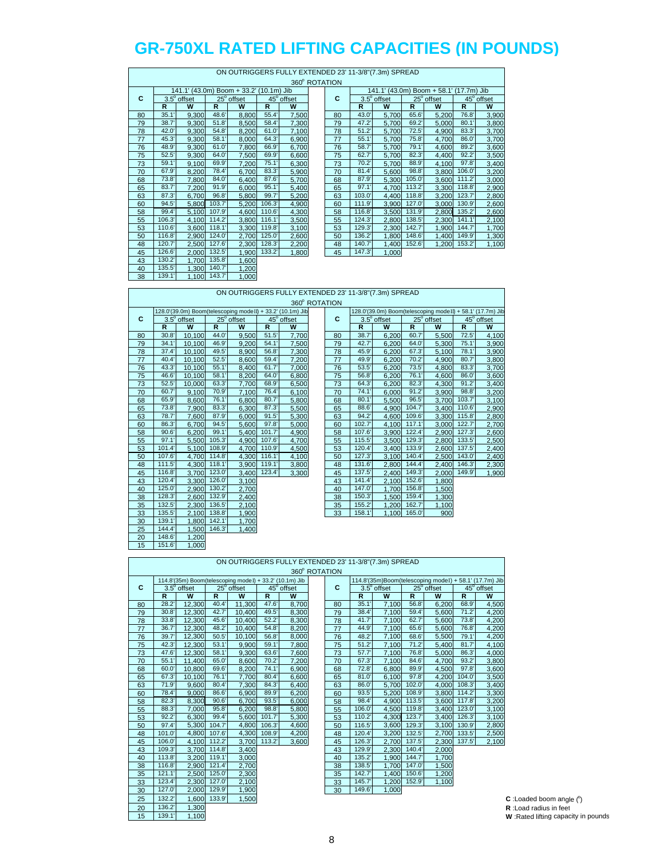|    | ON OUTRIGGERS FULLY EXTENDED 23' 11-3/8"(7.3m) SPREAD |             |        |                                         |        |            |  |               |                   |                    |       |  |  |  |
|----|-------------------------------------------------------|-------------|--------|-----------------------------------------|--------|------------|--|---------------|-------------------|--------------------|-------|--|--|--|
|    |                                                       |             |        |                                         |        |            |  | 360° ROTATION |                   |                    |       |  |  |  |
|    |                                                       |             |        | 141.1' (43.0m) Boom + 33.2' (10.1m) Jib |        |            |  |               | 141.1' (43.0m) Bo |                    |       |  |  |  |
| C  |                                                       | 3.5° offset |        | $25^\circ$ offset                       |        | 45° offset |  | C             |                   | $3.5^\circ$ offset | 25    |  |  |  |
|    | R                                                     | W           | R      | W                                       | R      | W          |  |               | R                 | W                  | R.    |  |  |  |
| 80 | 35.1'                                                 | 9,300       | 48.6'  | 8,800                                   | 55.4'  | 7,500      |  | 80            | 43.0              | 5,700              | 65.6  |  |  |  |
| 79 | 38.7                                                  | 9,300       | 51.8'  | 8,500                                   | 58.4   | 7,300      |  | 79            | 47.2              | 5,700              | 69.2  |  |  |  |
| 78 | 42.0                                                  | 9,300       | 54.8'  | 8,200                                   | 61.0   | 7,100      |  | 78            | 51.2'             | 5,700              | 72.5  |  |  |  |
| 77 | 45.3'                                                 | 9,300       | 58.1'  | 8,000                                   | 64.3'  | 6,900      |  | 77            | 55.1'             | 5,700              | 75.8  |  |  |  |
| 76 | 48.9'                                                 | 9,300       | 61.0   | 7,800                                   | 66.9   | 6,700      |  | 76            | 58.7              | 5,700              | 79.1  |  |  |  |
| 75 | 52.5'                                                 | 9,300       | 64.0   | 7,500                                   | 69.9   | 6,600      |  | 75            | 62.7              | 5,700              | 82.3  |  |  |  |
| 73 | 59.1'                                                 | 9,100       | 69.9'  | 7,200                                   | 75.1'  | 6,300      |  | 73            | 70.2'             | 5.700              | 88.9  |  |  |  |
| 70 | 67.9'                                                 | 8,200       | 78.4'  | 6,700                                   | 83.3'  | 5,900      |  | 70            | 81.4'             | 5,600              | 98.8  |  |  |  |
| 68 | 73.8'                                                 | 7,800       | 84.0   | 6,400                                   | 87.6   | 5,700      |  | 68            | 87.9              | 5,300              | 105.0 |  |  |  |
| 65 | 83.7                                                  | 7,200       | 91.9'  | 6,000                                   | 95.1'  | 5,400      |  | 65            | 97.1'             | 4.700              | 113.2 |  |  |  |
| 63 | 87.3'                                                 | 6,700       | 96.8'  | 5.800                                   | 99.7   | 5,200      |  | 63            | 103.0             | 4,400              | 118.8 |  |  |  |
| 60 | 94.5'                                                 | 5,800       | 103.7' | 5,200                                   | 106.3' | 4,900      |  | 60            | 111.9             | 3,900              | 127.0 |  |  |  |
| 58 | 99.4                                                  | 5,100       | 107.9  | 4,600                                   | 110.6' | 4,300      |  | 58            | 116.8'            | 3,500              | 131.9 |  |  |  |
| 55 | 106.3'                                                | 4,100       | 114.2' | 3,800                                   | 116.1' | 3,500      |  | 55            | 124.3'            | 2,800              | 138.5 |  |  |  |
| 53 | 110.6                                                 | 3,600       | 118.1' | 3,300                                   | 119.8  | 3,100      |  | 53            | 129.3'            | 2,300              | 142.7 |  |  |  |
| 50 | 116.8                                                 | 2,900       | 124.0  | 2,700                                   | 125.0  | 2,600      |  | 50            | 136.2'            | 1,800              | 148.6 |  |  |  |
| 48 | 120.7                                                 | 2,500       | 127.6' | 2,300                                   | 128.3' | 2,200      |  | 48            | 140.7             | 1,400              | 152.6 |  |  |  |
| 45 | 126.6'                                                | 2.000       | 132.5' | 1.900                                   | 133.2' | 1,800      |  | 45            | 147.3'            | 1,000              |       |  |  |  |
| 43 | 130.2                                                 | 1,700       | 135.8' | 1,600                                   |        |            |  |               |                   |                    |       |  |  |  |
| 40 | 135.5                                                 | 1,300       | 140.7  | 1,200                                   |        |            |  |               |                   |                    |       |  |  |  |
| 38 | 139.1'                                                | 1,100       | 143.7  | 1,000                                   |        |            |  |               |                   |                    |       |  |  |  |

|    |        |             |        |                                         |        |            | 360° ROTATION |        |                    |        |                                         |        |                   |
|----|--------|-------------|--------|-----------------------------------------|--------|------------|---------------|--------|--------------------|--------|-----------------------------------------|--------|-------------------|
|    |        |             |        | 141.1' (43.0m) Boom + 33.2' (10.1m) Jib |        |            |               |        |                    |        | 141.1' (43.0m) Boom + 58.1' (17.7m) Jib |        |                   |
| C  |        | 3.5° offset |        | 25° offset                              |        | 45° offset | C             |        | $3.5^\circ$ offset |        | 25° offset                              |        | $45^\circ$ offset |
|    | R      | W           | R      | W                                       | R      | W          |               | R      | W                  | R      | W                                       | R      | W                 |
| 80 | 35.1   | 9,300       | 48.6'  | 8,800                                   | 55.4'  | 7,500      | 80            | 43.0'  | 5.700              | 65.6   | 5,200                                   | 76.8   | 3,900             |
| 79 | 38.7'  | 9.300       | 51.8'  | 8,500                                   | 58.4   | 7,300      | 79            | 47.2   | 5,700              | 69.2   | 5,000                                   | 80.1   | 3,800             |
| 78 | 42.0   | 9,300       | 54.8'  | 8,200                                   | 61.0   | 7,100      | 78            | 51.2'  | 5,700              | 72.5'  | 4,900                                   | 83.3'  | 3,700             |
| 77 | 45.3'  | 9.300       | 58.1   | 8.000                                   | 64.3'  | 6,900      | 77            | 55.1'  | 5.700              | 75.8   | 4.700                                   | 86.0   | 3,700             |
| 76 | 48.9   | 9.300       | 61.0'  | 7.800                                   | 66.9'  | 6,700      | 76            | 58.7   | 5.700              | 79.1'  | 4.600                                   | 89.2   | 3,600             |
| 75 | 52.5'  | 9,300       | 64.0   | 7,500                                   | 69.9'  | 6,600      | 75            | 62.7   | 5,700              | 82.3'  | 4,400                                   | 92.2'  | 3,500             |
| 73 | 59.1'  | 9,100       | 69.9   | 7,200                                   | 75.1   | 6,300      | 73            | 70.2   | 5,700              | 88.9   | 4,100                                   | 97.8'  | 3,400             |
| 70 | 67.9   | 8.200       | 78.4   | 6.700                                   | 83.3'  | 5,900      | 70            | 81.4'  | 5.600              | 98.8   | 3.800                                   | 106.0  | 3,200             |
| 68 | 73.8'  | 7,800       | 84.0   | 6,400                                   | 87.6'  | 5,700      | 68            | 87.9   | 5,300              | 105.0  | 3,600                                   | 111.2' | 3,000             |
| 65 | 83.7'  | 7.200       | 91.9'  | 6.000                                   | 95.1   | 5,400      | 65            | 97.1'  | 4.700              | 113.2  | 3,300                                   | 118.8  | 2,900             |
| 63 | 87.3'  | 6.700       | 96.8'  | 5.800                                   | 99.7   | 5,200      | 63            | 103.0  | 4.400              | 118.8  | 3,200                                   | 123.7' | 2,800             |
| 60 | 94.5'  | 5,800       | 103.7' | 5,200                                   | 106.3' | 4,900      | 60            | 111.9' | 3,900              | 127.0  | 3,000                                   | 130.9' | 2,600             |
| 58 | 99.4   | 5,100       | 107.9  | 4,600                                   | 110.6' | 4,300      | 58            | 116.8' | 3,500              | 131.9' | 2,800                                   | 135.2  | 2,600             |
| 55 | 106.3' | 4.100       | 114.2  | 3.800                                   | 116.1  | 3,500      | 55            | 124.3' | 2.800              | 138.5' | 2,300                                   | 141.1' | 2,100             |
| 53 | 110.6  | 3,600       | 118.1  | 3,300                                   | 119.8' | 3,100      | 53            | 129.3' | 2,300              | 142.7' | 1,900                                   | 144.7  | 1,700             |
| 50 | 116.8  | 2,900       | 124.0  | 2,700                                   | 125.0  | 2,600      | 50            | 136.2  | 1,800              | 148.6  | 1,400                                   | 149.9  | 1,300             |
| 48 | 120.7  | 2.500       | 127.6  | 2,300                                   | 128.3' | 2,200      | 48            | 140.7  | 1.400              | 152.6  | 1,200                                   | 153.2  | 1,100             |
| 45 | 126.6' | 2.000       | 132.5' | 1.900                                   | 133.2' | 1.800      | 45            | 147.3' | 1.000              |        |                                         |        |                   |

|    |                      |                    |                       | ON OUTRIGGERS FULLY EXTENDED 23' 11-3/8"(7.3m) SPREAD      |            |                   |               |                       |                                                            |                       |                     |                       |                                |
|----|----------------------|--------------------|-----------------------|------------------------------------------------------------|------------|-------------------|---------------|-----------------------|------------------------------------------------------------|-----------------------|---------------------|-----------------------|--------------------------------|
|    |                      |                    |                       |                                                            |            |                   | 360° ROTATION |                       |                                                            |                       |                     |                       |                                |
|    |                      |                    |                       | 128.0'(39.0m) Boom(telescoping modeII) + 33.2' (10.1m) Jib |            |                   |               |                       | 128.0'(39.0m) Boom(telescoping modeII) + 58.1' (17.7m) Jib |                       |                     |                       |                                |
| C  |                      | $3.5^\circ$ offset |                       | $25^\circ$ offset                                          |            | $45^\circ$ offset | C             |                       | $3.5^\circ$ offset                                         |                       | $25^{\circ}$ offset |                       | $\overline{45}^{\circ}$ offset |
|    | $\mathsf{R}$<br>30.8 | W                  | $\mathbb{R}$<br>44.0' | W                                                          | R<br>51.5' | W                 |               | $\mathsf{R}$<br>38.7' | W                                                          | $\mathbb{R}$<br>60.7' | W                   | $\mathbb{R}$<br>72.5' | W                              |
| 80 |                      | 10,100             |                       | 9,500                                                      |            | 7,700             | 80            |                       | 6,200                                                      |                       | 5,500               |                       | 4,100                          |
| 79 | 34.1                 | 10,100             | 46.9'                 | 9.200                                                      | 54.1'      | 7.500             | 79            | 42.7                  | 6,200                                                      | 64.0                  | 5,300               | 75.1'                 | 3,900                          |
| 78 | 37.4                 | 10.100             | 49.5'                 | 8.900                                                      | 56.8       | 7.300             | 78            | 45.9                  | 6.200                                                      | 67.3'                 | 5.100               | 78.1'                 | 3,900                          |
| 77 | 40.4                 | 10.100             | 52.5'                 | 8,600                                                      | 59.4       | 7,200             | 77            | 49.9'                 | 6,200                                                      | 70.2'                 | 4,900               | 80.7                  | 3,800                          |
| 76 | 43.3'                | 10,100             | 55.1'                 | 8,400                                                      | 61.7'      | 7,000             | 76            | 53.5                  | 6,200                                                      | 73.5'                 | 4,800               | 83.3                  | 3,700                          |
| 75 | 46.6                 | 10.100             | 58.1'                 | 8,200                                                      | 64.0       | 6,800             | 75            | 56.8                  | 6,200                                                      | 76.1'                 | 4,600               | 86.0                  | 3,600                          |
| 73 | 52.5                 | 10.000             | 63.3'                 | 7,700                                                      | 68.9       | 6,500             | 73            | 64.3'                 | 6,200                                                      | 82.3'                 | 4,300               | 91.2'                 | 3,400                          |
| 70 | 60.7                 | 9,100              | 70.9'                 | 7,100                                                      | 76.4       | 6,100             | 70            | 74.1'                 | 6,000                                                      | 91.2'                 | 3,900               | 98.8'                 | 3,200                          |
| 68 | 65.9                 | 8.600              | 76.1'                 | 6.800                                                      | 80.7       | 5.800             | 68            | 80.1'                 | 5,500                                                      | 96.5'                 | 3.700               | 103.7'                | 3,100                          |
| 65 | 73.8                 | 7.900              | 83.3'                 | 6,300                                                      | 87.3'      | 5,500             | 65            | 88.6                  | 4.900                                                      | 104.7                 | 3.400               | 110.6                 | 2,900                          |
| 63 | 78.7                 | 7,600              | 87.9                  | 6,000                                                      | 91.5'      | 5,300             | 63            | 94.2                  | 4,600                                                      | 109.6                 | 3,300               | 115.8                 | 2,800                          |
| 60 | 86.3                 | 6.700              | 94.5'                 | 5,600                                                      | 97.8'      | 5.000             | 60            | 102.7'                | 4.100                                                      | 117.1'                | 3.000               | 122.7'                | 2,700                          |
| 58 | 90.6'                | 6,200              | 99.1'                 | 5,400                                                      | 101.7'     | 4,900             | 58            | 107.6                 | 3,900                                                      | 122.4                 | 2,900               | 127.3'                | 2,600                          |
| 55 | 97.1'                | 5.500              | 105.3'                | 4.900                                                      | 107.6      | 4.700             | 55            | 115.5'                | 3,500                                                      | 129.3'                | 2,800               | 133.5'                | 2,500                          |
| 53 | 101.4                | 5.100              | 108.9                 | 4.700                                                      | 110.9      | 4.500             | 53            | 120.4                 | 3.400                                                      | 133.9'                | 2,600               | 137.5                 | 2,400                          |
| 50 | 107.6                | 4.700              | 114.8                 | 4.300                                                      | 116.1'     | 4.100             | 50            | 127.3'                | 3,100                                                      | 140.4                 | 2,500               | 143.0                 | 2,400                          |
| 48 | 111.5'               | 4,300              | 118.1'                | 3,900                                                      | 119.1'     | 3,800             | 48            | 131.6'                | 2,800                                                      | 144.4'                | 2,400               | 146.3'                | 2,300                          |
| 45 | 116.8                | 3.700              | 123.0                 | 3,400                                                      | 123.4      | 3,300             | 45            | 137.5                 | 2,400                                                      | 149.3'                | 2,000               | 149.9'                | 1,900                          |
| 43 | 120.4                | 3,300              | 126.0                 | 3,100                                                      |            |                   | 43            | 141.4'                | 2,100                                                      | 152.6                 | 1,800               |                       |                                |
| 40 | 125.0                | 2.900              | 130.2'                | 2,700                                                      |            |                   | 40            | 147.0'                | 1.700                                                      | 156.8                 | 1.500               |                       |                                |
| 38 | 128.3'               | 2.600              | 132.9                 | 2,400                                                      |            |                   | 38            | 150.3'                | 1,500                                                      | 159.4'                | 1,300               |                       |                                |
| 35 | 132.5'               | 2.300              | 136.5'                | 2.100                                                      |            |                   | 35            | 155.2'                | 1.200                                                      | 162.7'                | 1,100               |                       |                                |
| 33 | 135.5                | 2,100              | 138.8                 | 1,900                                                      |            |                   | 33            | 158.1'                | 1,100                                                      | 165.0                 | 900                 |                       |                                |
| 30 | 139.1                | 1,800              | 142.1'                | 1,700                                                      |            |                   |               |                       |                                                            |                       |                     |                       |                                |
| 25 | 144.4                | 1,500              | 146.3'                | 1,400                                                      |            |                   |               |                       |                                                            |                       |                     |                       |                                |
| 20 | 148.6                | 1,200              |                       |                                                            |            |                   |               |                       |                                                            |                       |                     |                       |                                |
| 15 | 151.6'               | 1.000              |                       |                                                            |            |                   |               |                       |                                                            |                       |                     |                       |                                |

|    |              |                    |              | ON OUTRIGGERS FULLY EXTENDED 23' 11-3/8"(7.3m) SPREAD    |        |               |    |              |                    |              |                   |              |                                                        |
|----|--------------|--------------------|--------------|----------------------------------------------------------|--------|---------------|----|--------------|--------------------|--------------|-------------------|--------------|--------------------------------------------------------|
|    |              |                    |              |                                                          |        | 360° ROTATION |    |              |                    |              |                   |              |                                                        |
|    |              |                    |              | 114.8'(35m) Boom(telescoping mode I) + 33.2' (10.1m) Jib |        |               |    |              |                    |              |                   |              | 114.8'(35m)Boom(telescoping modeI) + 58.1' (17.7m) Jib |
| c  |              | $3.5^\circ$ offset |              | $25^\circ$ offset                                        |        | 45° offset    | C  |              | $3.5^\circ$ offset |              | $25^\circ$ offset |              | $45^\circ$ offset                                      |
|    | $\mathbb{R}$ | W                  | $\mathbb{R}$ | W                                                        | R      | W             |    | $\mathbb{R}$ | W                  | $\mathsf{R}$ | W                 | $\mathbb{R}$ | W                                                      |
| 80 | 28.2'        | 12,300             | 40.4         | 11,300                                                   | 47.6   | 8.700         | 80 | 35.1'        | 7.100              | 56.8         | 6,200             | 68.9         | 4,500                                                  |
| 79 | 30.8'        | 12.300             | 42.7'        | 10.400                                                   | 49.5'  | 8.300         | 79 | 38.4         | 7,100              | 59.4'        | 5.600             | 71.2'        | 4,200                                                  |
| 78 | 33.8'        | 12.300             | 45.6'        | 10.400                                                   | 52.2   | 8,300         | 78 | 41.7         | 7.100              | 62.7         | 5,600             | 73.8'        | 4,200                                                  |
| 77 | 36.7'        | 12.300             | 48.2         | 10.400                                                   | 54.8   | 8,200         | 77 | 44.9         | 7.100              | 65.6         | 5.600             | 76.8         | 4,200                                                  |
| 76 | 39.7'        | 12,300             | 50.5'        | 10,100                                                   | 56.8   | 8.000         | 76 | 48.2         | 7,100              | 68.6         | 5,500             | 79.1'        | 4,200                                                  |
| 75 | 42.3'        | 12,300             | 53.1'        | 9,900                                                    | 59.1'  | 7,800         | 75 | 51.2'        | 7,100              | 71.2'        | 5,400             | 81.7'        | 4,100                                                  |
| 73 | 47.6         | 12,300             | 58.1'        | 9,300                                                    | 63.6   | 7,600         | 73 | 57.7         | 7,100              | 76.8         | 5,000             | 86.3'        | 4,000                                                  |
| 70 | 55.1'        | 11.400             | 65.0'        | 8.600                                                    | 70.2'  | 7,200         | 70 | 67.3'        | 7.100              | 84.6         | 4.700             | 93.2'        | 3,800                                                  |
| 68 | 60.0         | 10.800             | 69.6         | 8.200                                                    | 74.1   | 6.900         | 68 | 72.8'        | 6.800              | 89.9         | 4.500             | 97.8'        | 3,600                                                  |
| 65 | 67.3         | 10,100             | 76.1'        | 7,700                                                    | 80.4   | 6,600         | 65 | 81.0'        | 6,100              | 97.8'        | 4,200             | 104.0        | 3,500                                                  |
| 63 | 71.9'        | 9,600              | 80.4'        | 7,300                                                    | 84.3'  | 6,400         | 63 | 86.0'        | 5.700              | 102.0        | 4.000             | 108.3'       | 3,400                                                  |
| 60 | 78.4         | 9.000              | 86.6         | 6.900                                                    | 89.9   | 6,200         | 60 | 93.5'        | 5,200              | 108.9        | 3,800             | 114.2        | 3,300                                                  |
| 58 | 82.3'        | 8,300              | 90.6'        | 6.700                                                    | 93.5'  | 6,000         | 58 | 98.4         | 4.900              | 113.5        | 3,600             | 117.8        | 3,200                                                  |
| 55 | 88.3'        | 7.000              | 95.8'        | 6.200                                                    | 98.8'  | 5,800         | 55 | 106.0        | 4.500              | 119.8        | 3.400             | 123.0        | 3,100                                                  |
| 53 | 92.2'        | 6.300              | 99.4         | 5,600                                                    | 101.7' | 5.300         | 53 | 110.2'       | 4.300              | 123.7'       | 3,400             | 126.3'       | 3,100                                                  |
| 50 | 97.4         | 5,300              | 104.7        | 4.800                                                    | 106.3  | 4,600         | 50 | 116.5'       | 3.600              | 129.3        | 3,100             | 130.9'       | 2,800                                                  |
| 48 | 101.0        | 4,800              | 107.6        | 4,300                                                    | 108.9  | 4,200         | 48 | 120.4        | 3,200              | 132.5        | 2,700             | 133.5'       | 2,500                                                  |
| 45 | 106.0        | 4.100              | 112.2'       | 3.700                                                    | 113.2' | 3,600         | 45 | 126.3'       | 2.700              | 137.5        | 2.300             | 137.5'       | 2,100                                                  |
| 43 | 109.3        | 3.700              | 114.8        | 3,400                                                    |        |               | 43 | 129.9        | 2.300              | 140.4        | 2,000             |              |                                                        |
| 40 | 113.8        | 3,200              | 119.1        | 3,000                                                    |        |               | 40 | 135.2        | 1,900              | 144.7        | 1,700             |              |                                                        |
| 38 | 116.8        | 2,900              | 121.4'       | 2.700                                                    |        |               | 38 | 138.5        | 1.700              | 147.0        | 1,500             |              |                                                        |
| 35 | 121.1'       | 2,500              | 125.0        | 2,300                                                    |        |               | 35 | 142.7'       | 1.400              | 150.6        | 1,200             |              |                                                        |
| 33 | 123.4        | 2,300              | 127.0        | 2.100                                                    |        |               | 33 | 145.7        | 1.200              | 152.9        | 1,100             |              |                                                        |
| 30 | 127.0        | 2,000              | 129.9        | 1,900                                                    |        |               | 30 | 149.6'       | 1,000              |              |                   |              |                                                        |
| 25 | 132.2        | 1.600              | 133.9'       | 1,500                                                    |        |               |    |              |                    |              |                   |              |                                                        |
| 20 | 136.2        | 1.300              |              |                                                          |        |               |    |              |                    |              |                   |              |                                                        |

i<br>L

| 25 | 132.2' |      | .600 133.9 | ,500 | $C$ :Loaded boom angle $(^\circ)$   |
|----|--------|------|------------|------|-------------------------------------|
| 20 | 136.2' | .300 |            |      | R: Load radius in feet              |
| 15 | 139.1  | 100  |            |      | W: Rated lifting capacity in pounds |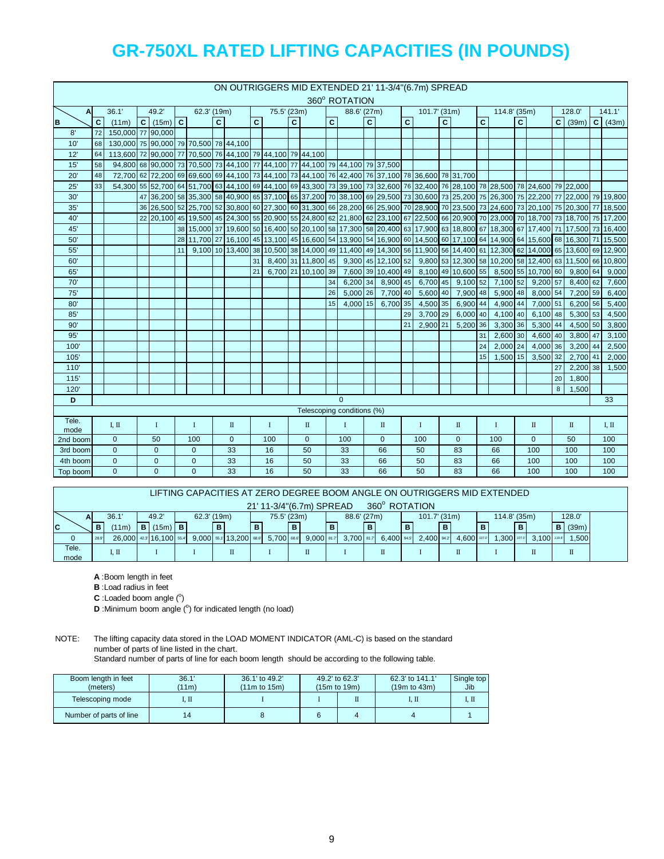|               |    |                                                                                                  |                                     |    |             |              |              |              |             |              |                |              | 360° ROTATION                                                                |    |              |    | ON OUTRIGGERS MID EXTENDED 21' 11-3/4" (6.7m) SPREAD                                                                              |              |                                                         |                 |              |              |                    |    |                     |                |
|---------------|----|--------------------------------------------------------------------------------------------------|-------------------------------------|----|-------------|--------------|--------------|--------------|-------------|--------------|----------------|--------------|------------------------------------------------------------------------------|----|--------------|----|-----------------------------------------------------------------------------------------------------------------------------------|--------------|---------------------------------------------------------|-----------------|--------------|--------------|--------------------|----|---------------------|----------------|
| A             |    | 36.1'                                                                                            | 49.2'                               |    | 62.3' (19m) |              |              |              | 75.5' (23m) |              |                |              | 88.6' (27m)                                                                  |    |              |    | $101.7'$ (31m)                                                                                                                    |              |                                                         |                 | 114.8' (35m) |              |                    |    | 128.0'              | 141.1'         |
| B             | C. | (11m)                                                                                            | $\overline{C}$ (15m) $\overline{C}$ |    |             | $\mathbf{C}$ |              | $\mathbf{C}$ |             | $\mathbf{C}$ |                | $\mathbf{C}$ |                                                                              | C. |              | C. |                                                                                                                                   | $\mathbf{C}$ |                                                         | $\mathbf{c}$    |              | $\mathbf{C}$ |                    |    | $C \mid (39m) \mid$ | $C \mid (43m)$ |
| 8'            | 72 | 150.000 77 90.000                                                                                |                                     |    |             |              |              |              |             |              |                |              |                                                                              |    |              |    |                                                                                                                                   |              |                                                         |                 |              |              |                    |    |                     |                |
| 10'           | 68 | 130,000 75 90,000 79 70,500 78 44,100                                                            |                                     |    |             |              |              |              |             |              |                |              |                                                                              |    |              |    |                                                                                                                                   |              |                                                         |                 |              |              |                    |    |                     |                |
| 12'           | 64 | 113,600 72 90,000 77 70,500 76 44,100 79 44,100 79 44,100                                        |                                     |    |             |              |              |              |             |              |                |              |                                                                              |    |              |    |                                                                                                                                   |              |                                                         |                 |              |              |                    |    |                     |                |
| 15'           | 58 |                                                                                                  |                                     |    |             |              |              |              |             |              |                |              | 94,800 68 90,000 73 70,500 73 44,100 77 44,100 77 44,100 79 44,100 79 37,500 |    |              |    |                                                                                                                                   |              |                                                         |                 |              |              |                    |    |                     |                |
| 20'           | 48 | 72,700 62 72,200 69 69,600 69 44,100 73 44,100 73 44,100 76 42,400 76 37,100 78 36,600 78 31,700 |                                     |    |             |              |              |              |             |              |                |              |                                                                              |    |              |    |                                                                                                                                   |              |                                                         |                 |              |              |                    |    |                     |                |
| 25'           | 33 |                                                                                                  |                                     |    |             |              |              |              |             |              |                |              |                                                                              |    |              |    | 54,300 55 52,700 64 51,700 63 44,100 69 44,100 69 43,300 73 39,100 73 32,600 76 32,400 76 28,100 78 28,500 78 24,600 79 22,000    |              |                                                         |                 |              |              |                    |    |                     |                |
| 30'           |    |                                                                                                  |                                     |    |             |              |              |              |             |              |                |              |                                                                              |    |              |    | 40,900 58 37,100 58 37,100 58 37,100 65 37,200 70 38,100 69 29,500 73 30,600 73 25,200 75 26,300 75 22,200 77 22,000 79 19,800    |              |                                                         |                 |              |              |                    |    |                     |                |
| 35'           |    |                                                                                                  |                                     |    |             |              |              |              |             |              |                |              |                                                                              |    |              |    | 36 26,500 52 25,700 52 30,800 60 27,300 60 31,300 66 28,200 66 25,900 70 28,900 70 23,500 73 24,600 73 20,100 75 20,300 77 18,500 |              |                                                         |                 |              |              |                    |    |                     |                |
| 40'           |    |                                                                                                  |                                     |    |             |              |              |              |             |              |                |              |                                                                              |    |              |    |                                                                                                                                   |              |                                                         |                 |              |              |                    |    |                     |                |
| 45'           |    |                                                                                                  |                                     |    |             |              |              |              |             |              |                |              |                                                                              |    |              |    | 38 15,000 37 19,600 50 16,400 50 20,100 58 17,300 58 20,400 63 17,900 63 18,800 67 18,300 67 17,400 71 17,500 73 16,400           |              |                                                         |                 |              |              |                    |    |                     |                |
| 50'           |    |                                                                                                  |                                     |    |             |              |              |              |             |              |                |              |                                                                              |    |              |    | 28 11,700 27 16,100 45 13,100 45 16,600 54 13,900 54 16,900 60 14,500 60 17,100 64 14,900 64 15,600 68 16,300 71 15,500           |              |                                                         |                 |              |              |                    |    |                     |                |
| 55'           |    |                                                                                                  |                                     | 11 |             |              |              |              |             |              |                |              |                                                                              |    |              |    | 9,100 10 13,400 38 10,500 38 14,000 49 11,400 49 14,300 56 11,900 56 14,400 61 12,300 62 14,000 65 13,600 69 12,900               |              |                                                         |                 |              |              |                    |    |                     |                |
| 60'           |    |                                                                                                  |                                     |    |             |              |              | 31           |             |              |                |              | 8,400 31 11,800 45 9,300 45 12,100 52                                        |    |              |    |                                                                                                                                   |              | 9,800 53 12,300 58 10,200 58 12,400 63 11,500 66 10,800 |                 |              |              |                    |    |                     |                |
| 65'           |    |                                                                                                  |                                     |    |             |              |              | 21           |             |              |                |              | 6,700 21 10,100 39 7,600 39 10,400 49                                        |    |              |    |                                                                                                                                   |              | 8,100 49 10,600 55                                      |                 |              |              | 8,500 55 10,700 60 |    | 9,800 64            | 9,000          |
| 70'           |    |                                                                                                  |                                     |    |             |              |              |              |             |              |                | 34           | 6,200 34                                                                     |    | 8,900 45     |    | 6,700 45                                                                                                                          |              | $9,100$ 52                                              |                 | 7,100 52     |              | 9,200 57           |    | 8,400 62            | 7,600          |
| 75'           |    |                                                                                                  |                                     |    |             |              |              |              |             |              |                | 26           | 5,000 26                                                                     |    | 7,700 40     |    | 5,600 40                                                                                                                          |              | 7,900 48                                                |                 | 5,900 48     |              | 8,000 54           |    | 7,200 59            | 6,400          |
| 80'           |    |                                                                                                  |                                     |    |             |              |              |              |             |              |                | 15           | 4,000 15                                                                     |    | 6,700 35     |    | 4,500 35                                                                                                                          |              | 6,900 44                                                |                 | 4,900 44     |              | 7,000 51           |    | 6,200 56            | 5,400          |
| 85'           |    |                                                                                                  |                                     |    |             |              |              |              |             |              |                |              |                                                                              |    |              | 29 | 3,700 29                                                                                                                          |              | $6,000$ 40                                              |                 | 4,100 40     |              | 6,100 48           |    | 5,300 53            | 4,500          |
| 90'           |    |                                                                                                  |                                     |    |             |              |              |              |             |              |                |              |                                                                              |    |              | 21 | 2,900 21                                                                                                                          |              | 5,200 36                                                |                 | 3,300 36     |              | 5,300 44           |    | 4,500 50            | 3,800          |
| 95'           |    |                                                                                                  |                                     |    |             |              |              |              |             |              |                |              |                                                                              |    |              |    |                                                                                                                                   |              |                                                         | 31              | 2,600 30     |              | 4,600 40           |    | 3,800 47            | 3,100          |
| 100           |    |                                                                                                  |                                     |    |             |              |              |              |             |              |                |              |                                                                              |    |              |    |                                                                                                                                   |              |                                                         | 24              | 2.000 24     |              | 4.000 36           |    | $3,200$ 44          | 2,500          |
| 105'          |    |                                                                                                  |                                     |    |             |              |              |              |             |              |                |              |                                                                              |    |              |    |                                                                                                                                   |              |                                                         | 15 <sup>1</sup> | 1,500 15     |              | 3,500 32           |    | 2,700 41            | 2,000          |
| 110'          |    |                                                                                                  |                                     |    |             |              |              |              |             |              |                |              |                                                                              |    |              |    |                                                                                                                                   |              |                                                         |                 |              |              |                    | 27 | 2.200 38            | 1,500          |
| 115'          |    |                                                                                                  |                                     |    |             |              |              |              |             |              |                |              |                                                                              |    |              |    |                                                                                                                                   |              |                                                         |                 |              |              |                    | 20 | 1,800               |                |
| 120           |    |                                                                                                  |                                     |    |             |              |              |              |             |              |                |              |                                                                              |    |              |    |                                                                                                                                   |              |                                                         |                 |              |              |                    | 8  | 1,500               |                |
| D             |    |                                                                                                  |                                     |    |             |              |              |              |             |              |                |              | $\Omega$                                                                     |    |              |    |                                                                                                                                   |              |                                                         |                 |              |              |                    |    |                     | 33             |
|               |    |                                                                                                  |                                     |    |             |              |              |              |             |              |                |              | Telescoping conditions (%)                                                   |    |              |    |                                                                                                                                   |              |                                                         |                 |              |              |                    |    |                     |                |
| Tele.<br>mode |    | I, II                                                                                            | $\mathbf I$                         |    | $\bf{I}$    |              | П            |              | $\bf{I}$    |              | $\mathbb{I}$   |              | $\bf{I}$                                                                     |    | $\rm II$     |    | $\bf{I}$                                                                                                                          |              | $\rm II$                                                |                 | $\mathbf I$  |              | $\mathbb{I}$       |    | $\mathbf{I}$        | I, II          |
| 2nd boom      |    | $\mathbf 0$                                                                                      | 50                                  |    | 100         |              | $\mathbf{0}$ |              | 100         |              | $\overline{0}$ |              | 100                                                                          |    | $\mathbf{0}$ |    | 100                                                                                                                               |              | $\mathbf{0}$                                            |                 | 100          |              | $\mathbf{0}$       |    | 50                  | 100            |
| 3rd boom      |    | $\overline{0}$                                                                                   | $\overline{0}$                      |    | 0           |              | 33           |              | 16          |              | 50             |              | 33                                                                           |    | 66           |    | 50                                                                                                                                |              | 83                                                      |                 | 66           |              | 100                |    | 100                 | 100            |
| 4th boom      |    | $\overline{0}$                                                                                   | $\mathbf 0$                         |    | 0           |              | 33           |              | 16          |              | 50             |              | 33                                                                           |    | 66           |    | 50                                                                                                                                |              | 83                                                      |                 | 66           |              | 100                |    | 100                 | 100            |
| Top boom      |    | $\Omega$                                                                                         | $\Omega$                            |    | $\Omega$    |              | 33           |              | 16          |              | 50             |              | 33                                                                           |    | 66           |    | 50                                                                                                                                |              | 83                                                      |                 | 66           |              | 100                |    | 100                 | 100            |

|             |                                                                                                      |                         |  |  |  |  |  |                        |  |            |  | LIFTING CAPACITIES AT ZERO DEGREE BOOM ANGLE ON OUTRIGGERS MID EXTENDED. |  |            |  |               |                |             |            |             |      |  |
|-------------|------------------------------------------------------------------------------------------------------|-------------------------|--|--|--|--|--|------------------------|--|------------|--|--------------------------------------------------------------------------|--|------------|--|---------------|----------------|-------------|------------|-------------|------|--|
|             |                                                                                                      |                         |  |  |  |  |  |                        |  |            |  | 21' 11-3/4" (6.7m) SPREAD                                                |  |            |  | 360° ROTATION |                |             |            |             |      |  |
|             | 49.2'<br>128.0<br>114.8' (35m)<br>62.3' (19m)<br>88.6' (27m)<br>101.7' (31m)<br>75.5' (23m)<br>36.1' |                         |  |  |  |  |  |                        |  |            |  |                                                                          |  |            |  |               |                |             |            |             |      |  |
| $\mathbf c$ | $B$ (15m) $B$<br>в<br>в<br>(39m)<br>B <sub>1</sub><br>в<br>в<br>B.<br>B<br>(11m)<br>в                |                         |  |  |  |  |  |                        |  |            |  |                                                                          |  |            |  |               |                |             |            |             |      |  |
|             | 28.9                                                                                                 | 26.000 42.3 16.100 55.4 |  |  |  |  |  | 9,000 55.1 13,200 68.6 |  | 5.700 68.6 |  | $9,000$ 81.7                                                             |  | 3.700 81.7 |  | 6.400 94.5    | $2,400$ $94.2$ | 4.600 107.0 | ,300 107.0 | 3.100 119.8 | ,500 |  |
| Tele.       |                                                                                                      | 1, 11                   |  |  |  |  |  |                        |  |            |  |                                                                          |  |            |  |               |                |             |            |             | П    |  |
| mode        |                                                                                                      |                         |  |  |  |  |  |                        |  |            |  |                                                                          |  |            |  |               |                |             |            |             |      |  |

**A** :Boom length in feet

**B** :Load radius in feet

 $C$ : Loaded boom angle  $(^\circ)$ 

**D** : Minimum boom angle (°) for indicated length (no load)

number of parts of line listed in the chart. Standard number of parts of line for each boom length should be according to the following table.

| Boom length in feet<br>(meters) | 36.1'<br>(11m) | 36.1' to 49.2'<br>(11m to 15m) | 49.2' to 62.3'<br>$(15m)$ to $19m)$ | 62.3' to 141.1'<br>$(19m)$ to $(43m)$ | Single top<br>Jib |
|---------------------------------|----------------|--------------------------------|-------------------------------------|---------------------------------------|-------------------|
| Telescoping mode                | I. Π           |                                |                                     | I. Π                                  | 1, II             |
| Number of parts of line         |                |                                |                                     |                                       |                   |

NOTE: The lifting capacity data stored in the LOAD MOMENT INDICATOR (AML-C) is based on the standard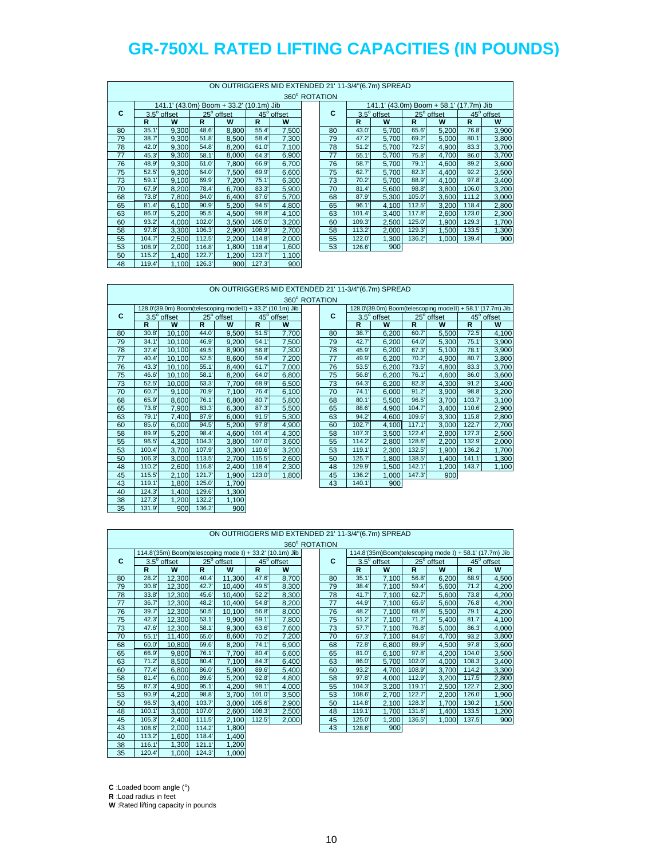|    |        |                    |        |                                         |        |            |               |              | ON OUTRIGGERS MID EXTENDED 21' 11-3/4"(6.7m) SPREAD |        |            |               |            |
|----|--------|--------------------|--------|-----------------------------------------|--------|------------|---------------|--------------|-----------------------------------------------------|--------|------------|---------------|------------|
|    |        |                    |        |                                         |        |            | 360° ROTATION |              |                                                     |        |            |               |            |
|    |        |                    |        | 141.1' (43.0m) Boom + 33.2' (10.1m) Jib |        |            |               |              | 141.1' (43.0m) Boom + 58.1'                         |        |            | $(17.7m)$ Jib |            |
| С  |        | $3.5^\circ$ offset |        | 25° offset                              |        | 45° offset | C             |              | $3.5^\circ$ offset                                  |        | 25° offset |               | 45° offset |
|    | R      | w                  | R.     | W                                       | R      | W          |               | $\mathbb{R}$ | W                                                   | R      | W          | R             | W          |
| 80 | 35.1'  | 9.300              | 48.6'  | 8,800                                   | 55.4'  | 7,500      | 80            | 43.0'        | 5,700                                               | 65.6'  | 5,200      | 76.8          | 3,900      |
| 79 | 38.7'  | 9.300              | 51.8'  | 8,500                                   | 58.4   | 7,300      | 79            | 47.2'        | 5,700                                               | 69.2'  | 5,000      | 80.1'         | 3,800      |
| 78 | 42.0'  | 9.300              | 54.8'  | 8,200                                   | 61.0   | 7.100      | 78            | 51.2'        | 5,700                                               | 72.5'  | 4.900      | 83.3'         | 3,700      |
| 77 | 45.3'  | 9,300              | 58.1'  | 8,000                                   | 64.3'  | 6,900      | 77            | 55.1'        | 5,700                                               | 75.8'  | 4,700      | 86.0          | 3,700      |
| 76 | 48.9'  | 9.300              | 61.0'  | 7.800                                   | 66.9'  | 6,700      | 76            | 58.7         | 5,700                                               | 79.1'  | 4,600      | 89.2          | 3,600      |
| 75 | 52.5'  | 9.300              | 64.0   | 7,500                                   | 69.9'  | 6,600      | 75            | 62.7         | 5,700                                               | 82.3'  | 4,400      | 92.2'         | 3,500      |
| 73 | 59.1'  | 9,100              | 69.9'  | 7,200                                   | 75.1'  | 6,300      | 73            | 70.2'        | 5,700                                               | 88.9'  | 4,100      | 97.8'         | 3,400      |
| 70 | 67.9'  | 8,200              | 78.4   | 6,700                                   | 83.3'  | 5,900      | 70            | 81.4'        | 5,600                                               | 98.8   | 3,800      | 106.0         | 3,200      |
| 68 | 73.8'  | 7.800              | 84.0'  | 6.400                                   | 87.6'  | 5,700      | 68            | 87.9'        | 5,300                                               | 105.0' | 3,600      | 111.2'        | 3,000      |
| 65 | 81.4'  | 6.100              | 90.9'  | 5,200                                   | 94.5'  | 4,800      | 65            | 96.1'        | 4,100                                               | 112.5  | 3,200      | 118.4         | 2,800      |
| 63 | 86.0'  | 5.200              | 95.5'  | 4.500                                   | 98.8'  | 4,100      | 63            | 101.4        | 3,400                                               | 117.8  | 2,600      | 123.0         | 2,300      |
| 60 | 93.2'  | 4.000              | 102.0  | 3.500                                   | 105.0  | 3,200      | 60            | 109.3'       | 2,500                                               | 125.0  | 1,900      | 129.3'        | 1,700      |
| 58 | 97.8'  | 3.300              | 106.3' | 2.900                                   | 108.9' | 2,700      | 58            | 113.2        | 2,000                                               | 129.3' | 1,500      | 133.5'        | 1,300      |
| 55 | 104.7  | 2,500              | 112.5' | 2,200                                   | 114.8  | 2,000      | 55            | 122.0        | 1,300                                               | 136.2' | 1,000      | 139.4         | 900        |
| 53 | 108.9' | 2.000              | 116.8  | 1,800                                   | 118.4  | 1,600      | 53            | 126.6'       | 900                                                 |        |            |               |            |
| 50 | 115.2  | 1,400              | 122.7' | 1,200                                   | 123.7' | 1,100      |               |              |                                                     |        |            |               |            |
| 48 | 119.4  | 1,100              | 126.3' | 900                                     | 127.3' | 900        |               |              |                                                     |        |            |               |            |

|    |                |                                                            |                |                        |                | ON OUTRIGGERS MID EXTENDED 21' 11-3/4"(6.7m) SPREAD |               |    |        |             |        |                                                            |        |                        |
|----|----------------|------------------------------------------------------------|----------------|------------------------|----------------|-----------------------------------------------------|---------------|----|--------|-------------|--------|------------------------------------------------------------|--------|------------------------|
|    |                |                                                            |                |                        |                |                                                     | 360° ROTATION |    |        |             |        |                                                            |        |                        |
|    |                | 128.0'(39.0m) Boom(telescoping modeII) + 33.2' (10.1m) Jib |                |                        |                |                                                     |               |    |        |             |        | 128.0'(39.0m) Boom(telescoping modeII) + 58.1' (17.7m) Jib |        |                        |
| C  |                | 3.5° offset                                                |                | 25 <sup>°</sup> offset |                | 45 <sup>°</sup> offset                              |               | C  |        | 3.5° offset |        | 25 <sup>°</sup> offset                                     |        | 45 <sup>°</sup> offset |
|    | $\overline{R}$ | W                                                          | $\overline{R}$ | W                      | $\overline{R}$ | W                                                   |               |    | R      | W           | R      | W                                                          | R      | W                      |
| 80 | 30.8'          | 10,100                                                     | 44.0           | 9,500                  | 51.5'          | 7,700                                               |               | 80 | 38.7'  | 6.200       | 60.7   | 5,500                                                      | 72.5'  | 4,100                  |
| 79 | 34.1'          | 10.100                                                     | 46.9'          | 9,200                  | 54.1'          | 7,500                                               |               | 79 | 42.7'  | 6.200       | 64.0   | 5.300                                                      | 75.1'  | 3,900                  |
| 78 | 37.4'          | 10,100                                                     | 49.5'          | 8,900                  | 56.8'          | 7,300                                               |               | 78 | 45.9'  | 6,200       | 67.3'  | 5,100                                                      | 78.1'  | 3,900                  |
| 77 | 40.4'          | 10,100                                                     | 52.5'          | 8,600                  | 59.4'          | 7,200                                               |               | 77 | 49.9'  | 6,200       | 70.2'  | 4,900                                                      | 80.7   | 3,800                  |
| 76 | 43.3'          | 10,100                                                     | 55.1'          | 8,400                  | 61.7           | 7,000                                               |               | 76 | 53.5'  | 6.200       | 73.5'  | 4,800                                                      | 83.3'  | 3,700                  |
| 75 | 46.6           | 10,100                                                     | 58.1'          | 8,200                  | 64.0           | 6,800                                               |               | 75 | 56.8'  | 6,200       | 76.1'  | 4,600                                                      | 86.0'  | 3,600                  |
| 73 | 52.5'          | 10,000                                                     | 63.3'          | 7,700                  | 68.9'          | 6,500                                               |               | 73 | 64.3'  | 6.200       | 82.3'  | 4.300                                                      | 91.2   | 3,400                  |
| 70 | 60.7           | 9,100                                                      | 70.9           | 7,100                  | 76.4           | 6,100                                               |               | 70 | 74.1'  | 6.000       | 91.2'  | 3,900                                                      | 98.8'  | 3,200                  |
| 68 | 65.9           | 8,600                                                      | 76.1'          | 6,800                  | 80.7           | 5,800                                               |               | 68 | 80.1'  | 5,500       | 96.5'  | 3,700                                                      | 103.7' | 3,100                  |
| 65 | 73.8'          | 7,900                                                      | 83.3'          | 6,300                  | 87.3'          | 5,500                                               |               | 65 | 88.6   | 4.900       | 104.7  | 3,400                                                      | 110.6  | 2,900                  |
| 63 | 79.1'          | 7,400                                                      | 87.9           | 6.000                  | 91.5'          | 5,300                                               |               | 63 | 94.2'  | 4.600       | 109.6  | 3,300                                                      | 115.8  | 2,800                  |
| 60 | 85.6           | 6,000                                                      | 94.5'          | 5,200                  | 97.8'          | 4,900                                               |               | 60 | 102.7  | 4,100       | 117.1' | 3.000                                                      | 122.7  | 2,700                  |
| 58 | 89.9           | 5,200                                                      | 98.4           | 4,600                  | 101.4'         | 4,300                                               |               | 58 | 107.3' | 3,500       | 122.4  | 2,800                                                      | 127.3' | 2,500                  |
| 55 | 96.5'          | 4,300                                                      | 104.3'         | 3,800                  | 107.0          | 3,600                                               |               | 55 | 114.2  | 2,800       | 128.6  | 2,200                                                      | 132.9' | 2,000                  |
| 53 | 100.4          | 3,700                                                      | 107.9          | 3,300                  | 110.6'         | 3,200                                               |               | 53 | 119.1' | 2,300       | 132.5' | 1,900                                                      | 136.2  | 1,700                  |
| 50 | 106.3'         | 3,000                                                      | 113.5          | 2.700                  | 115.5          | 2,600                                               |               | 50 | 125.7' | 1.800       | 138.5  | 1.400                                                      | 141.1' | 1,300                  |
| 48 | 110.2          | 2,600                                                      | 116.8          | 2,400                  | 118.4          | 2,300                                               |               | 48 | 129.9' | 1,500       | 142.1' | 1,200                                                      | 143.7' | 1,100                  |
| 45 | 115.5'         | 2,100                                                      | 121.7'         | 1,900                  | 123.0          | 1,800                                               |               | 45 | 136.2  | 1,000       | 147.3' | 900                                                        |        |                        |
| 43 | 119.1'         | 1,800                                                      | 125.0          | 1,700                  |                |                                                     |               | 43 | 140.1' | 900         |        |                                                            |        |                        |
| 40 | 124.3'         | 1,400                                                      | 129.6          | 1,300                  |                |                                                     |               |    |        |             |        |                                                            |        |                        |
| 38 | 127.3'         | 1,200                                                      | 132.2          | 1,100                  |                |                                                     |               |    |        |             |        |                                                            |        |                        |
| 35 | 131.9'         | 900                                                        | 136.2          | 900                    |                |                                                     |               |    |        |             |        |                                                            |        |                        |

|    |       |                                                          |       |            |       |            | 360° ROTATION |       |                                                         |       |            |       |            |
|----|-------|----------------------------------------------------------|-------|------------|-------|------------|---------------|-------|---------------------------------------------------------|-------|------------|-------|------------|
|    |       | 114.8'(35m) Boom(telescoping mode I) + 33.2' (10.1m) Jib |       |            |       |            |               |       | 114.8'(35m)Boom(telescoping mode I) + 58.1' (17.7m) Jib |       |            |       |            |
| C  |       | $3.5^\circ$ offset                                       |       | 25° offset |       | 45° offset | С             |       | $3.5^\circ$ offset                                      |       | 25° offset |       | 45° offset |
|    | R     | W                                                        | R     | W          | R     | W          |               | R     | W                                                       | R     | W          |       | w          |
| 80 | 28.2  | 12.300                                                   | 40.4  | 11.300     | 47.6' | 8,700      | 80            | 35.1  | 7,100                                                   | 56.8' | 6.200      | 68.9  | 4.500      |
| 79 | 30.8' | 12.300                                                   | 42.7  | 10.400     | 49.5' | 8,300      | 79            | 38.4' | 7,100                                                   | 59.4' | 5.600      | 71.2' | 4,200      |
| 78 | 33.8' | 12.300                                                   | 45.6' | 10.400     | 52.2' | 8,300      | 78            | 41.7  | 7.100                                                   | 62.7  | 5.600      | 73.8' | 4,200      |
| 77 | 36.7  | 12.300                                                   | 48.2  | 10.400     | 54.8' | 8,200      |               | 44.9  | 7,100                                                   | 65.6' | 5.600      | 76.8' | 4,200      |
| 76 | 39.7  | 12.300                                                   | 50.5' | 10.100     | 56.8' | 8,000      | 76            | 48.2  | 7,100                                                   | 68.6' | 5.500      | 79.1' | 4,200      |
| 75 | 42.3' | 12.300                                                   | 53.1  | 9.900      | 59.1' | 7,800      | 75            | 51.2' | 7,100                                                   | 71.2' | 5.400      | 81.7' | 4,100      |
| 73 | 47.6' | 12.300                                                   | 58.1  | 9.300      | 63.6' | 7.600      | 73            | 57.7  | 7.100                                                   | 76.8' | 5.000      | 86.3' | 4.000      |

ON OUTRIGGERS MID EXTENDED 21' 11-3/4"(6.7m) SPREAD

| С  |        | $3.5^\circ$ offset |        | 25° offset |        | 45° offset |
|----|--------|--------------------|--------|------------|--------|------------|
|    | R      | W                  | R      | W          | R      | W          |
| 80 | 28.2'  | 12,300             | 40.4   | 11,300     | 47.6   | 8,700      |
| 79 | 30.8'  | 12,300             | 42.7   | 10,400     | 49.5'  | 8,300      |
| 78 | 33.8'  | 12,300             | 45.6   | 10,400     | 52.2'  | 8,300      |
| 77 | 36.7'  | 12,300             | 48.2'  | 10,400     | 54.8'  | 8,200      |
| 76 | 39.7   | 12,300             | 50.5'  | 10,100     | 56.8   | 8,000      |
| 75 | 42.3'  | 12,300             | 53.1'  | 9,900      | 59.1'  | 7,800      |
| 73 | 47.6'  | 12,300             | 58.1'  | 9,300      | 63.6   | 7,600      |
| 70 | 55.1'  | 11,400             | 65.0   | 8,600      | 70.2   | 7,200      |
| 68 | 60.0   | 10,800             | 69.6'  | 8,200      | 74.1'  | 6,900      |
| 65 | 66.9'  | 9,800              | 76.1'  | 7,700      | 80.4   | 6,600      |
| 63 | 71.2'  | 8,500              | 80.4   | 7,100      | 84.3'  | 6,400      |
| 60 | 77.4'  | 6,800              | 86.0   | 5,900      | 89.6   | 5,400      |
| 58 | 81.4'  | 6,000              | 89.6   | 5,200      | 92.8'  | 4,800      |
| 55 | 87.3'  | 4,900              | 95.1'  | 4,200      | 98.1'  | 4,000      |
| 53 | 90.9'  | 4,200              | 98.8'  | 3,700      | 101.0  | 3,500      |
| 50 | 96.5'  | 3,400              | 103.7  | 3,000      | 105.6  | 2,900      |
| 48 | 100.1' | 3,000              | 107.0  | 2,600      | 108.3  | 2,500      |
| 45 | 105.3' | 2,400              | 111.5  | 2,100      | 112.5' | 2,000      |
| 43 | 108.6  | 2,000              | 114.2  | 1,800      |        |            |
| 40 | 113.2  | 1,600              | 118.4  | 1,400      |        |            |
| 38 | 116.1' | 1,300              | 121.1' | 1,200      |        |            |
| 35 | 120.4  | 1,000              | 124.3' | 1,000      |        |            |

|    |        |                    |       | 114.8'(35m) Boom(telescoping mode I) + 33.2' (10.1m) Jib |        |            |    |        |                    |        | 114.8'(35m)Boom(telescoping mode I) + 58.1' (17.7m) Jib |        |            |
|----|--------|--------------------|-------|----------------------------------------------------------|--------|------------|----|--------|--------------------|--------|---------------------------------------------------------|--------|------------|
| C  |        | $3.5^\circ$ offset |       | 25° offset                                               |        | 45° offset | c  |        | $3.5^\circ$ offset |        | 25° offset                                              |        | 45° offset |
|    | R      | W                  | R     | W                                                        | R      | W          |    | R      | W                  | R      | W                                                       | R      | W          |
| 80 | 28.2   | 12.300             | 40.4' | 11.300                                                   | 47.6'  | 8,700      | 80 | 35.1   | 7.100              | 56.8'  | 6.200                                                   | 68.9   | 4,500      |
| 79 | 30.8'  | 12,300             | 42.7' | 10.400                                                   | 49.5'  | 8,300      | 79 | 38.4   | 7,100              | 59.4   | 5,600                                                   | 71.2'  | 4,200      |
| 78 | 33.8'  | 12.300             | 45.6  | 10.400                                                   | 52.2'  | 8,300      | 78 | 41.7'  | 7.100              | 62.7   | 5,600                                                   | 73.8'  | 4,200      |
| 77 | 36.7   | 12,300             | 48.2  | 10.400                                                   | 54.8'  | 8,200      | 77 | 44.9'  | 7,100              | 65.6   | 5,600                                                   | 76.8   | 4,200      |
| 76 | 39.7'  | 12,300             | 50.5' | 10.100                                                   | 56.8   | 8,000      | 76 | 48.2'  | 7,100              | 68.6   | 5,500                                                   | 79.1'  | 4,200      |
| 75 | 42.3'  | 12,300             | 53.1  | 9.900                                                    | 59.1'  | 7,800      | 75 | 51.2'  | 7,100              | 71.2'  | 5,400                                                   | 81.7'  | 4,100      |
| 73 | 47.6   | 12.300             | 58.1' | 9.300                                                    | 63.6'  | 7,600      | 73 | 57.7'  | 7.100              | 76.8'  | 5.000                                                   | 86.3'  | 4,000      |
| 70 | 55.1'  | 11.400             | 65.0  | 8,600                                                    | 70.2   | 7,200      | 70 | 67.3'  | 7,100              | 84.6'  | 4.700                                                   | 93.2   | 3,800      |
| 68 | 60.0   | 10.800             | 69.6  | 8,200                                                    | 74.1'  | 6,900      | 68 | 72.8'  | 6,800              | 89.9'  | 4,500                                                   | 97.8'  | 3,600      |
| 65 | 66.9'  | 9.800              | 76.1  | 7.700                                                    | 80.4   | 6,600      | 65 | 81.0'  | 6.100              | 97.8'  | 4,200                                                   | 104.0  | 3,500      |
| 63 | 71.2'  | 8.500              | 80.4  | 7.100                                                    | 84.3'  | 6,400      | 63 | 86.0'  | 5,700              | 102.0  | 4.000                                                   | 108.3' | 3,400      |
| 60 | 77.4'  | 6.800              | 86.0' | 5,900                                                    | 89.6   | 5,400      | 60 | 93.2'  | 4.700              | 108.9  | 3,700                                                   | 114.2  | 3,300      |
| 58 | 81.4'  | 6.000              | 89.6  | 5.200                                                    | 92.8'  | 4,800      | 58 | 97.8'  | 4.000              | 112.9  | 3.200                                                   | 117.5  | 2,800      |
| 55 | 87.3'  | 4.900              | 95.1' | 4,200                                                    | 98.1'  | 4,000      | 55 | 104.3' | 3.200              | 119.1  | 2,500                                                   | 122.7' | 2,300      |
| 53 | 90.9'  | 4,200              | 98.8' | 3.700                                                    | 101.0  | 3,500      | 53 | 108.6' | 2,700              | 122.7' | 2,200                                                   | 126.0  | 1,900      |
| 50 | 96.5'  | 3,400              | 103.7 | 3,000                                                    | 105.6  | 2,900      | 50 | 114.8  | 2,100              | 128.3' | 1.700                                                   | 130.2  | 1,500      |
| 48 | 100.1  | 3.000              | 107.0 | 2.600                                                    | 108.3' | 2,500      | 48 | 119.1' | 1.700              | 131.6  | 1.400                                                   | 133.5' | 1,200      |
| 45 | 105.3' | 2,400              | 111.5 | 2,100                                                    | 112.5' | 2,000      | 45 | 125.0  | 1,200              | 136.5' | 1,000                                                   | 137.5  | 900        |
| 43 | 108.6  | 2,000              | 114.2 | 1,800                                                    |        |            | 43 | 128.6' | 900                |        |                                                         |        |            |
|    |        |                    |       |                                                          |        |            |    |        |                    |        |                                                         |        |            |

 $C$  : Loaded boom angle  $(°)$ 

**R** :Load radius in feet

**W** :Rated lifting capacity in pounds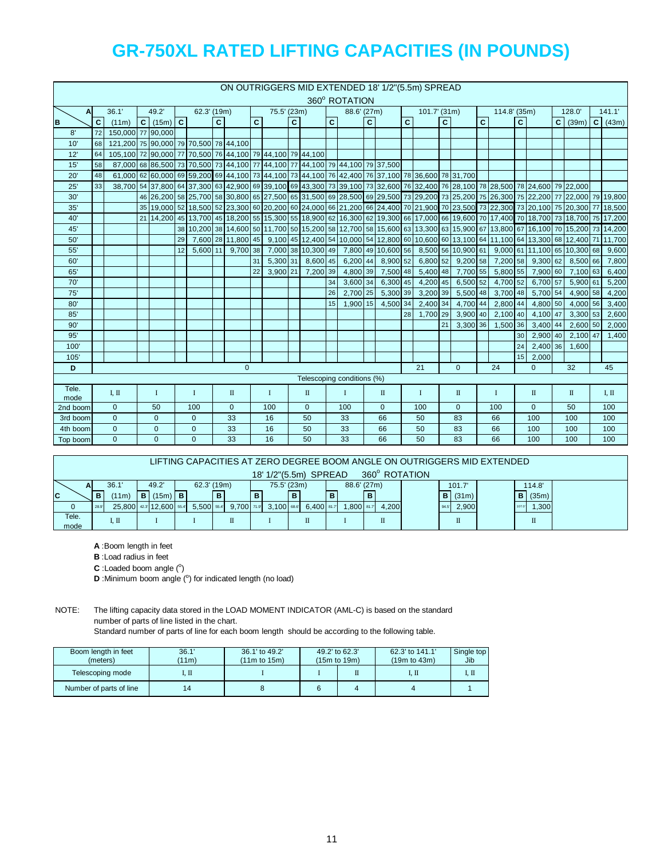|                  |                |                                                           |  |               |    |                                                                                                                                                       |              |                    |                |              |              |                    |              | ON OUTRIGGERS MID EXTENDED 18' 1/2"(5.5m) SPREAD                                                |                         |                    |                |              |                |                    |                |              |                |              |                              |           |
|------------------|----------------|-----------------------------------------------------------|--|---------------|----|-------------------------------------------------------------------------------------------------------------------------------------------------------|--------------|--------------------|----------------|--------------|--------------|--------------------|--------------|-------------------------------------------------------------------------------------------------|-------------------------|--------------------|----------------|--------------|----------------|--------------------|----------------|--------------|----------------|--------------|------------------------------|-----------|
|                  |                |                                                           |  |               |    |                                                                                                                                                       |              |                    |                |              |              |                    |              | 360° ROTATION                                                                                   |                         |                    |                |              |                |                    |                |              |                |              |                              |           |
| $\mathbf{A}$     |                | 36.1'                                                     |  | 49.2'         |    | 62.3' (19m)                                                                                                                                           |              |                    |                | 75.5' (23m)  |              |                    |              | 88.6' (27m)                                                                                     |                         |                    |                | 101.7' (31m) |                |                    |                | 114.8' (35m) |                |              | 128.0                        | 141.1'    |
| B                | $\overline{c}$ | (11m)                                                     |  | $C$ (15m) $C$ |    |                                                                                                                                                       | $\mathbf{C}$ |                    | $\overline{c}$ |              | $\mathbf{C}$ |                    | $\mathbf{C}$ |                                                                                                 | $\overline{\mathbf{c}}$ |                    | $\overline{c}$ |              | $\overline{c}$ |                    | $\overline{c}$ |              | $\overline{c}$ |              | $C \mid (39m)$               | $C$ (43m) |
| 8'               | 72             | 150,000 77 90,000                                         |  |               |    |                                                                                                                                                       |              |                    |                |              |              |                    |              |                                                                                                 |                         |                    |                |              |                |                    |                |              |                |              |                              |           |
| 10'              | 68             | 121,200 75 90,000 79 70,500 78 44,100                     |  |               |    |                                                                                                                                                       |              |                    |                |              |              |                    |              |                                                                                                 |                         |                    |                |              |                |                    |                |              |                |              |                              |           |
| 12'              | 64             | 105,100 72 90,000 77 70,500 76 44,100 79 44,100 79 44,100 |  |               |    |                                                                                                                                                       |              |                    |                |              |              |                    |              |                                                                                                 |                         |                    |                |              |                |                    |                |              |                |              |                              |           |
| 15'              | 58             |                                                           |  |               |    | 87,000 68 86,500 73 70,500 73 44,100 77 44,100 77 44,100 79 44,100 79 37,500                                                                          |              |                    |                |              |              |                    |              |                                                                                                 |                         |                    |                |              |                |                    |                |              |                |              |                              |           |
| 20'              | 48             |                                                           |  |               |    | 61,700 62 60,000 69 59,200 69 44,100 73 44,100 73 44,100 73 44,100 76 42,400 76 37,100 78 36,600 78 31,700                                            |              |                    |                |              |              |                    |              |                                                                                                 |                         |                    |                |              |                |                    |                |              |                |              |                              |           |
| 25'              | 33             |                                                           |  |               |    | 38,700 54 37,800 64 37,300 63 42,900 69 39,100 69 43,300 73 39,100 73 32,600 76 32,400 76 28,100 78 28,500 78 24,600 79 22,000                        |              |                    |                |              |              |                    |              |                                                                                                 |                         |                    |                |              |                |                    |                |              |                |              |                              |           |
| 30'              |                |                                                           |  |               |    | 46 26,200 56 22,200 75 22,200 77 22,000 79 19,800 69 27,500 65 31,500 69 28,500 69 29,500 73 29,200 73 25,200 75 26,300 75 22,200 77 22,000 79 19,800 |              |                    |                |              |              |                    |              |                                                                                                 |                         |                    |                |              |                |                    |                |              |                |              |                              |           |
| 35'              |                |                                                           |  |               |    | 35 19,000 52 18,500 52 23,300 60 20,200 60 24,000 66 21,200 66 24,400 70 21,900 70 23,500 73 22,300 73 20,100 75 20,300 77 18,500                     |              |                    |                |              |              |                    |              |                                                                                                 |                         |                    |                |              |                |                    |                |              |                |              |                              |           |
| 40'              |                |                                                           |  |               |    | 21 14,200 18 13,700 45 18,200 5 15,300 55 18,900 62 16,300 62 19,300 66 17,000 66 19,600 70 17,400 70 18,700 73 18,700 75 17,200                      |              |                    |                |              |              |                    |              |                                                                                                 |                         |                    |                |              |                |                    |                |              |                |              |                              |           |
| 45'              |                |                                                           |  |               |    | 38 10 200 38 14,600 50 11,700 50 15,200 58 12,700 58 15,600 63 13,300 63 15,900 67 13,300 67 16,100 70 15,200 73 14,200                               |              |                    |                |              |              |                    |              |                                                                                                 |                         |                    |                |              |                |                    |                |              |                |              |                              |           |
| 50'              |                |                                                           |  |               | 29 |                                                                                                                                                       |              | 7,600 28 11,800 45 |                |              |              |                    |              | 9,100 45 12,400 54 10,000 54 12,800 60 10,600 60 13,100 64 11,100 64 13,300 68 12,400 71 11,700 |                         |                    |                |              |                |                    |                |              |                |              |                              |           |
| 55'              |                |                                                           |  |               | 12 | $5.600$ 11                                                                                                                                            |              | $9.700 \, 38$      |                |              |              | 7,000 38 10,300 49 |              |                                                                                                 |                         | 7,800 49 10,600 56 |                |              |                | 8,500 56 10,900 61 |                |              |                |              | 9.000 61 11.100 65 10.300 68 | 9,600     |
| 60'              |                |                                                           |  |               |    |                                                                                                                                                       |              |                    | 31             | 5,300 31     |              | 8,600 45           |              | $6,200$ 44                                                                                      |                         | 8,900 52           |                | $6,800$ 52   |                | $9,200$ 58         |                | 7,200 58     |                | $9,300$ 62   | 8,500 66                     | 7,800     |
| 65'              |                |                                                           |  |               |    |                                                                                                                                                       |              |                    | 22             | 3,900 21     |              | 7,200 39           |              | 4,800 39                                                                                        |                         | 7,500 48           |                | 5,400 48     |                | 7,700 55           |                | $5,800$ 55   |                | 7,900 60     | 7,100 63                     | 6,400     |
| 70'              |                |                                                           |  |               |    |                                                                                                                                                       |              |                    |                |              |              |                    | 34           | 3,600 34                                                                                        |                         | 6,300 45           |                | 4,200 45     |                | 6,500 52           |                | 4,700 52     |                | 6,700 57     | 5,900 61                     | 5,200     |
| 75'              |                |                                                           |  |               |    |                                                                                                                                                       |              |                    |                |              |              |                    | 26           | 2,700 25                                                                                        |                         | 5,300 39           |                | 3,200 39     |                | 5,500 48           |                | 3,700 48     |                | 5,700 54     | 4,900 58                     | 4,200     |
| 80'              |                |                                                           |  |               |    |                                                                                                                                                       |              |                    |                |              |              |                    | 15           | 1.900 15                                                                                        |                         | 4,500 34           |                | 2,400 34     |                | 4,700 44           |                | 2,800 44     |                | 4,800 50     | 4,000 56                     | 3,400     |
| 85'              |                |                                                           |  |               |    |                                                                                                                                                       |              |                    |                |              |              |                    |              |                                                                                                 |                         |                    | 28             | 1,700 29     |                | $3,900$ 40         |                | 2,100 40     |                | 4,100 47     | 3,300 53                     | 2,600     |
| 90'              |                |                                                           |  |               |    |                                                                                                                                                       |              |                    |                |              |              |                    |              |                                                                                                 |                         |                    |                |              | 21             | 3.300 36           |                | 1,500 36     |                | $3,400$ 44   | 2,600 50                     | 2,000     |
| 95'              |                |                                                           |  |               |    |                                                                                                                                                       |              |                    |                |              |              |                    |              |                                                                                                 |                         |                    |                |              |                |                    |                |              | 30             | 2.900 40     | 2,100 47                     | 1,400     |
| 100'             |                |                                                           |  |               |    |                                                                                                                                                       |              |                    |                |              |              |                    |              |                                                                                                 |                         |                    |                |              |                |                    |                |              | 24             | 2,400 36     | 1,600                        |           |
| 105'             |                |                                                           |  |               |    |                                                                                                                                                       |              |                    |                |              |              |                    |              |                                                                                                 |                         |                    |                |              |                |                    |                |              | 15             | 2,000        |                              |           |
| D                |                |                                                           |  |               |    |                                                                                                                                                       |              | $\mathbf 0$        |                |              |              |                    |              |                                                                                                 |                         |                    |                | 21           |                | $\Omega$           |                | 24           |                | $\Omega$     | 32                           | 45        |
|                  |                |                                                           |  |               |    |                                                                                                                                                       |              |                    |                |              |              |                    |              | Telescoping conditions (%)                                                                      |                         |                    |                |              |                |                    |                |              |                |              |                              |           |
| Tele.            |                | I, II                                                     |  | $\mathbf I$   |    | $\mathbf{I}$                                                                                                                                          |              | $\mathbb{I}$       |                | $\mathbf{I}$ |              | $\mathbb{I}$       |              | $\bf{I}$                                                                                        |                         | $\mathbf{I}$       |                | $\mathbf{I}$ |                | $\mathbf{I}$       |                | $\mathbf I$  |                | $\mathbb{I}$ | $\mathbf{I}$                 | I, II     |
| mode<br>2nd boom |                | $\overline{0}$                                            |  | 50            |    | 100                                                                                                                                                   |              | $\mathbf{0}$       |                | 100          |              | $\overline{0}$     |              | 100                                                                                             |                         | $\mathbf{0}$       |                | 100          |                | $\mathbf{0}$       |                | 100          |                | $\mathbf{0}$ | 50                           | 100       |
| 3rd boom         |                | $\overline{0}$                                            |  | $\mathbf{0}$  |    | $\mathbf 0$                                                                                                                                           |              | 33                 |                | 16           |              | 50                 |              | 33                                                                                              |                         | 66                 |                | 50           |                | 83                 |                | 66           |                | 100          | 100                          | 100       |
| 4th boom         |                | $\overline{0}$                                            |  | $\mathbf{0}$  |    | $\mathbf{0}$                                                                                                                                          |              | 33                 |                | 16           |              | 50                 |              | 33                                                                                              |                         | 66                 |                | 50           |                | 83                 |                | 66           |                | 100          | 100                          | 100       |
| Top boom         |                | $\Omega$                                                  |  | $\Omega$      |    | $\Omega$                                                                                                                                              |              | 33                 |                | 16           |              | 50                 |              | 33                                                                                              |                         | 66                 |                | 50           |                | 83                 |                | 66           |                | 100          | 100                          | 100       |
|                  |                |                                                           |  |               |    |                                                                                                                                                       |              |                    |                |              |              |                    |              |                                                                                                 |                         |                    |                |              |                |                    |                |              |                |              |                              |           |

|              |      |                         |   |           |             |            |   |             |   |                       |   |             |       |               |      |        | LIFTING CAPACITIES AT ZERO DEGREE BOOM ANGLE ON OUTRIGGERS MID EXTENDED |              |  |
|--------------|------|-------------------------|---|-----------|-------------|------------|---|-------------|---|-----------------------|---|-------------|-------|---------------|------|--------|-------------------------------------------------------------------------|--------------|--|
|              |      |                         |   |           |             |            |   |             |   | 18' 1/2"(5.5m) SPREAD |   |             |       | 360° ROTATION |      |        |                                                                         |              |  |
| A            |      | 36.1                    |   | 49.2'     | 62.3' (19m) |            |   | 75.5' (23m) |   |                       |   | 88.6' (27m) |       |               |      | 101.7  |                                                                         | 114.8'       |  |
| $\mathbf{C}$ | в    | (11m)                   | B | $(15m)$ B |             |            | в |             | в |                       | B |             |       |               |      | B(31m) |                                                                         | (35m)<br>в   |  |
|              | 28.9 | 25,800 42.3 12,600 55.4 |   |           | 5.500 55.4  | 9,700 71.9 |   | 3.100 68.6  |   | $6,400$ 81.7          |   | ,800 81.7   | 4,200 |               | 94.5 | 2,900  |                                                                         | ,300<br>107. |  |
| Tele.        |      | I. II                   |   |           |             | п          |   |             |   | Π                     |   |             | Π     |               |      | П      |                                                                         | Π            |  |
| mode         |      |                         |   |           |             |            |   |             |   |                       |   |             |       |               |      |        |                                                                         |              |  |

**A** :Boom length in feet

**B** :Load radius in feet

 $C$  : Loaded boom angle  $(°)$ 

**D** :Minimum boom angle (°) for indicated length (no load)

NOTE: The lifting capacity data stored in the LOAD MOMENT INDICATOR (AML-C) is based on the standard number of parts of line listed in the chart.

Standard number of parts of line for each boom length should be according to the following table.

| Boom length in feet<br>(meters) | 36.1'<br>(11m) | 36.1' to 49.2'<br>(11m to 15m) | 49.2' to 62.3'<br>$(15m)$ to $19m$ ) | 62.3' to 141.1'<br>$(19m)$ to $43m$ ) | Single top<br>Jib |
|---------------------------------|----------------|--------------------------------|--------------------------------------|---------------------------------------|-------------------|
| Telescoping mode                | I. II          |                                |                                      | I. II                                 | I. Π              |
| Number of parts of line         |                |                                |                                      |                                       |                   |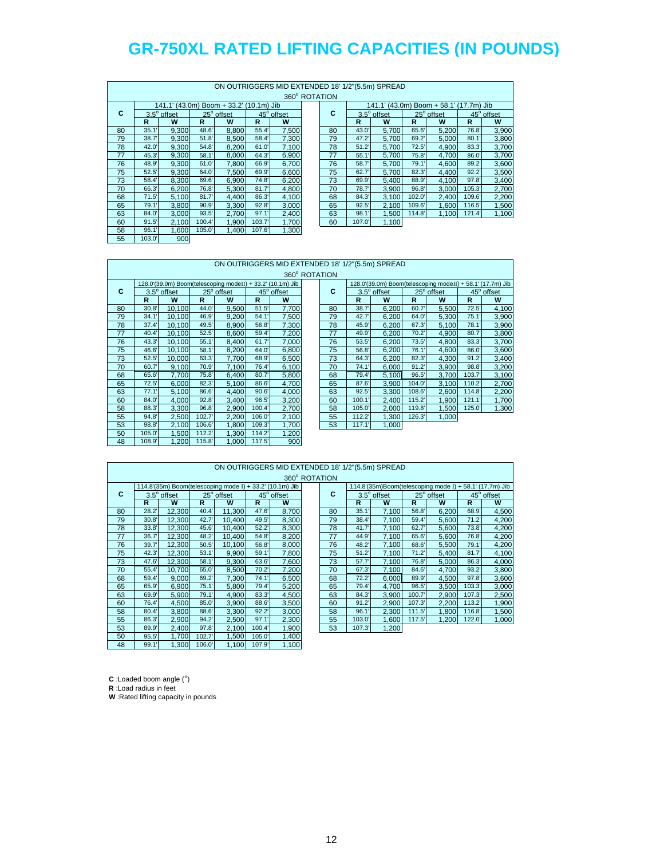|    |        |                             |       | ON OUTRIGGERS MID EXTENDED 18' 1/2"(5.5m) SPREAD |               |            |               |       |                             |        |            |               |            |
|----|--------|-----------------------------|-------|--------------------------------------------------|---------------|------------|---------------|-------|-----------------------------|--------|------------|---------------|------------|
|    |        |                             |       |                                                  |               |            | 360° ROTATION |       |                             |        |            |               |            |
|    |        | 141.1' (43.0m) Boom + 33.2' |       |                                                  | $(10.1m)$ Jib |            |               |       | 141.1' (43.0m) Boom + 58.1' |        |            | $(17.7m)$ Jib |            |
| C  |        | $3.5^\circ$ offset          |       | 25° offset                                       |               | 45° offset | С             |       | 3.5° offset                 |        | 25° offset |               | 45° offset |
|    | R      | W                           | R     | W                                                | R             | W          |               | R     | W                           | R      | W          | R             | W          |
| 80 | 35.1   | 9,300                       | 48.6' | 8,800                                            | 55.4'         | 7,500      | 80            | 43.0' | 5,700                       | 65.6'  | 5,200      | 76.8          | 3,900      |
| 79 | 38.7   | 9.300                       | 51.8' | 8.500                                            | 58.4          | 7,300      | 79            | 47.2' | 5.700                       | 69.2'  | 5,000      | 80.1          | 3,800      |
| 78 | 42.0'  | 9.300                       | 54.8' | 8,200                                            | 61.0'         | 7,100      | 78            | 51.2' | 5,700                       | 72.5'  | 4,900      | 83.3'         | 3,700      |
| 77 | 45.3'  | 9.300                       | 58.1' | 8,000                                            | 64.3'         | 6,900      | 77            | 55.1  | 5,700                       | 75.8   | 4,700      | 86.0          | 3,700      |
| 76 | 48.9'  | 9.300                       | 61.0' | 7.800                                            | 66.9'         | 6,700      | 76            | 58.7  | 5.700                       | 79.1'  | 4.600      | 89.2          | 3,600      |
| 75 | 52.5'  | 9.300                       | 64.0' | 7.500                                            | 69.9'         | 6,600      | 75            | 62.7' | 5,700                       | 82.3'  | 4.400      | 92.2'         | 3,500      |
| 73 | 58.4   | 8.300                       | 69.6' | 6.900                                            | 74.8'         | 6,200      | 73            | 69.9' | 5.400                       | 88.9'  | 4.100      | 97.8'         | 3,400      |
| 70 | 66.3   | 6,200                       | 76.8' | 5,300                                            | 81.7'         | 4,800      | 70            | 78.7  | 3,900                       | 96.8'  | 3,000      | 105.3'        | 2,700      |
| 68 | 71.5'  | 5,100                       | 81.7' | 4.400                                            | 86.3'         | 4,100      | 68            | 84.3' | 3,100                       | 102.0  | 2,400      | 109.6'        | 2,200      |
| 65 | 79.1   | 3.800                       | 90.9' | 3,300                                            | 92.8'         | 3,000      | 65            | 92.5' | 2,100                       | 109.6' | 1,600      | 116.5         | 1,500      |
| 63 | 84.0   | 3.000                       | 93.5' | 2.700                                            | 97.1'         | 2,400      | 63            | 98.1  | 1,500                       | 114.8  | 1,100      | 121.4         | 1,100      |
| 60 | 91.5'  | 2,100                       | 100.4 | 1,900                                            | 103.7'        | 1,700      | 60            | 107.0 | 1,100                       |        |            |               |            |
| 58 | 96.1   | 1,600                       | 105.0 | 1,400                                            | 107.6'        | 1,300      |               |       |                             |        |            |               |            |
| 55 | 103.0' | 900                         |       |                                                  |               |            |               |       |                             |        |            |               |            |

### ON OUTRIGGERS MID EXTENDED 18' 1/2"(5.5m) SPREAD

|    |              |                    |        |                                                            |        |            | 360° ROTATION |    |        |                                      |        |            |
|----|--------------|--------------------|--------|------------------------------------------------------------|--------|------------|---------------|----|--------|--------------------------------------|--------|------------|
|    |              |                    |        | 128.0'(39.0m) Boom(telescoping modeII) + 33.2' (10.1m) Jib |        |            |               |    |        | 128.0'(39.0m) Boom(telescoping model |        |            |
| С  |              | $3.5^\circ$ offset |        | 25° offset                                                 |        | 45° offset |               | C  |        | 3.5° offset                          |        | 25° offset |
|    | $\mathsf{R}$ | W                  | R      | W                                                          | R      | W          |               |    | R      | W                                    | R      | W          |
| 80 | 30.8'        | 10,100             | 44.0   | 9,500                                                      | 51.5'  | 7,700      |               | 80 | 38.7   | 6,200                                | 60.7   | 5,500      |
| 79 | 34.1'        | 10.100             | 46.9   | 9,200                                                      | 54.1'  | 7,500      |               | 79 | 42.7'  | 6,200                                | 64.0   | 5,300      |
| 78 | 37.4'        | 10,100             | 49.5'  | 8,900                                                      | 56.8   | 7,300      |               | 78 | 45.9'  | 6,200                                | 67.3'  | 5,100      |
| 77 | 40.4'        | 10,100             | 52.5'  | 8,600                                                      | 59.4   | 7,200      |               | 77 | 49.9'  | 6,200                                | 70.2'  | 4,900      |
| 76 | 43.3'        | 10,100             | 55.1'  | 8.400                                                      | 61.7   | 7,000      |               | 76 | 53.5'  | 6,200                                | 73.5'  | 4,800      |
| 75 | 46.6         | 10,100             | 58.1'  | 8,200                                                      | 64.0   | 6,800      |               | 75 | 56.8   | 6,200                                | 76.1'  | 4,600      |
| 73 | 52.5'        | 10.000             | 63.3'  | 7,700                                                      | 68.9'  | 6,500      |               | 73 | 64.3'  | 6,200                                | 82.3'  | 4,300      |
| 70 | 60.7         | 9,100              | 70.9'  | 7,100                                                      | 76.4   | 6,100      |               | 70 | 74.1'  | 6,000                                | 91.2'  | 3,900      |
| 68 | 65.6         | 7.700              | 75.8'  | 6.400                                                      | 80.7'  | 5,800      |               | 68 | 79.4   | 5.100                                | 96.5'  | 3,700      |
| 65 | 72.5'        | 6,000              | 82.3'  | 5,100                                                      | 86.6'  | 4,700      |               | 65 | 87.6   | 3,900                                | 104.0  | 3,100      |
| 63 | 77.1'        | 5.100              | 86.6'  | 4.400                                                      | 90.6'  | 4,000      |               | 63 | 92.5'  | 3.300                                | 108.6' | 2,600      |
| 60 | 84.0         | 4.000              | 92.8'  | 3,400                                                      | 96.5'  | 3,200      |               | 60 | 100.1  | 2,400                                | 115.2  | 1,900      |
| 58 | 88.3'        | 3.300              | 96.8'  | 2,900                                                      | 100.4  | 2,700      |               | 58 | 105.0  | 2.000                                | 119.8' | 1,500      |
| 55 | 94.8'        | 2.500              | 102.7' | 2,200                                                      | 106.0  | 2,100      |               | 55 | 112.2  | 1,300                                | 126.3' | 1.000      |
| 53 | 98.8         | 2.100              | 106.6' | 1.800                                                      | 109.3' | 1,700      |               | 53 | 117.1' | 1,000                                |        |            |
| 50 | 105.0        | 1,500              | 112.2  | 1,300                                                      | 114.2  | 1,200      |               |    |        |                                      |        |            |
| 48 | 108.9'       | 1,200              | 115.8  | 1,000                                                      | 117.5  | 900        |               |    |        |                                      |        |            |

 $\mathsf{L}$ 

|    |       |                                                            |       |            |       |            | 360° ROTATION |        |                    |        |                                                            |        |            |
|----|-------|------------------------------------------------------------|-------|------------|-------|------------|---------------|--------|--------------------|--------|------------------------------------------------------------|--------|------------|
|    |       | 128.0'(39.0m) Boom(telescoping modeII) + 33.2' (10.1m) Jib |       |            |       |            |               |        |                    |        | 128.0'(39.0m) Boom(telescoping modeII) + 58.1' (17.7m) Jib |        |            |
| C  |       | $3.5^\circ$ offset                                         |       | 25° offset |       | 45° offset | C             |        | $3.5^\circ$ offset |        | 25° offset                                                 |        | 45° offset |
|    | R     | W                                                          | R     | W          | R     | W          |               | R      | W                  | R      | W                                                          | R      | W          |
| 80 | 30.8' | 10.100                                                     | 44.0  | 9,500      | 51.5' | 7,700      | 80            | 38.7'  | 6,200              | 60.7   | 5.500                                                      | 72.5'  | 4,100      |
| 79 | 34.1  | 10.100                                                     | 46.9  | 9,200      | 54.1  | 7,500      | 79            | 42.7'  | 6,200              | 64.0   | 5.300                                                      | 75.1'  | 3,900      |
| 78 | 37.4' | 10.100                                                     | 49.5' | 8.900      | 56.8  | 7,300      | 78            | 45.9'  | 6.200              | 67.3'  | 5.100                                                      | 78.1   | 3,900      |
| 77 | 40.4  | 10.100                                                     | 52.5' | 8.600      | 59.4  | 7,200      | 77            | 49.9'  | 6,200              | 70.2'  | 4.900                                                      | 80.7   | 3,800      |
| 76 | 43.3' | 10.100                                                     | 55.1  | 8,400      | 61.7  | 7,000      | 76            | 53.5'  | 6,200              | 73.5'  | 4,800                                                      | 83.3'  | 3,700      |
| 75 | 46.6  | 10,100                                                     | 58.1  | 8,200      | 64.0  | 6,800      | 75            | 56.8   | 6,200              | 76.1   | 4,600                                                      | 86.0   | 3,600      |
| 73 | 52.5' | 10.000                                                     | 63.3' | 7,700      | 68.9  | 6,500      | 73            | 64.3'  | 6,200              | 82.3'  | 4,300                                                      | 91.2'  | 3,400      |
| 70 | 60.7  | 9,100                                                      | 70.9  | 7,100      | 76.4  | 6,100      | 70            | 74.1   | 6,000              | 91.2'  | 3,900                                                      | 98.8   | 3,200      |
| 68 | 65.6  | 7,700                                                      | 75.8  | 6.400      | 80.7  | 5,800      | 68            | 79.4   | 5,100              | 96.5'  | 3,700                                                      | 103.7' | 3,100      |
| 65 | 72.5' | 6.000                                                      | 82.3' | 5.100      | 86.6  | 4,700      | 65            | 87.6   | 3.900              | 104.0  | 3.100                                                      | 110.2  | 2,700      |
| 63 | 77.1  | 5.100                                                      | 86.6  | 4.400      | 90.6' | 4,000      | 63            | 92.5'  | 3.300              | 108.6  | 2.600                                                      | 114.8  | 2,200      |
| 60 | 84.0  | 4,000                                                      | 92.8' | 3.400      | 96.5' | 3,200      | 60            | 100.1  | 2.400              | 115.2  | 1.900                                                      | 121.1' | 1,700      |
| 58 | 88.3  | 3.300                                                      | 96.8' | 2.900      | 100.4 | 2,700      | 58            | 105.0  | 2.000              | 119.8' | 1.500                                                      | 125.0' | 1,300      |
| 55 | 94.8  | 2,500                                                      | 102.7 | 2,200      | 106.0 | 2,100      | 55            | 112.2  | 1,300              | 126.3' | 1,000                                                      |        |            |
| 53 | 98.8  | 2,100                                                      | 106.6 | 1,800      | 109.3 | 1,700      | 53            | 117.1' | 1,000              |        |                                                            |        |            |
|    |       |                                                            |       |            |       |            |               |        |                    |        |                                                            |        |            |

|    |       |                    |        | ON OUTRIGGERS MID EXTENDED 18' 1/2"(5.5m) SPREAD         |       |            | 360° ROTATION |        |                                                         |        |            |        |            |
|----|-------|--------------------|--------|----------------------------------------------------------|-------|------------|---------------|--------|---------------------------------------------------------|--------|------------|--------|------------|
|    |       |                    |        | 114.8'(35m) Boom(telescoping mode I) + 33.2' (10.1m) Jib |       |            |               |        | 114.8'(35m)Boom(telescoping mode I) + 58.1' (17.7m) Jib |        |            |        |            |
| C  |       | $3.5^\circ$ offset |        | 25° offset                                               |       | 45° offset | C             |        | $3.5^\circ$ offset                                      |        | 25° offset |        | 45° offset |
|    | R     | W                  | R      | W                                                        | R.    | w          |               | R      | W                                                       | R      | W          | R      | W          |
| 80 | 28.2' | 12.300             | 40.4   | 11.300                                                   | 47.6  | 8,700      | 80            | 35.1   | 7.100                                                   | 56.8'  | 6,200      | 68.9   | 4,500      |
| 79 | 30.8' | 12,300             | 42.7'  | 10.400                                                   | 49.5' | 8,300      | 79            | 38.4   | 7,100                                                   | 59.4   | 5,600      | 71.2'  | 4,200      |
| 78 | 33.8' | 12.300             | 45.6   | 10.400                                                   | 52.2' | 8,300      | 78            | 41.7   | 7.100                                                   | 62.7   | 5.600      | 73.8   | 4,200      |
| 77 | 36.7' | 12,300             | 48.2   | 10,400                                                   | 54.8  | 8,200      | 77            | 44.9'  | 7,100                                                   | 65.6'  | 5,600      | 76.8'  | 4,200      |
| 76 | 39.7' | 12,300             | 50.5'  | 10.100                                                   | 56.8' | 8,000      | 76            | 48.2'  | 7,100                                                   | 68.6'  | 5,500      | 79.1'  | 4,200      |
| 75 | 42.3' | 12,300             | 53.1'  | 9,900                                                    | 59.1' | 7,800      | 75            | 51.2'  | 7,100                                                   | 71.2'  | 5,400      | 81.7'  | 4,100      |
| 73 | 47.6' | 12.300             | 58.1'  | 9.300                                                    | 63.6' | 7,600      | 73            | 57.7'  | 7.100                                                   | 76.8   | 5.000      | 86.3'  | 4,000      |
| 70 | 55.4' | 10,700             | 65.0   | 8,500                                                    | 70.2  | 7,200      | 70            | 67.3'  | 7,100                                                   | 84.6'  | 4,700      | 93.2   | 3,800      |
| 68 | 59.4  | 9.000              | 69.2'  | 7,300                                                    | 74.1' | 6,500      | 68            | 72.2'  | 6.000                                                   | 89.9'  | 4,500      | 97.8'  | 3,600      |
| 65 | 65.9' | 6,900              | 75.1'  | 5,800                                                    | 79.4  | 5,200      | 65            | 79.4   | 4,700                                                   | 96.5'  | 3,500      | 103.3' | 3,000      |
| 63 | 69.9' | 5,900              | 79.1'  | 4.900                                                    | 83.3' | 4,500      | 63            | 84.3'  | 3,900                                                   | 100.7' | 2,900      | 107.3' | 2,500      |
| 60 | 76.4  | 4,500              | 85.0   | 3,900                                                    | 88.6' | 3,500      | 60            | 91.2'  | 2,900                                                   | 107.3' | 2,200      | 113.2  | 1,900      |
| 58 | 80.4  | 3.800              | 88.6   | 3.300                                                    | 92.2' | 3,000      | 58            | 96.1   | 2.300                                                   | 111.5  | 1.800      | 116.8  | 1,500      |
| 55 | 86.3' | 2,900              | 94.2   | 2,500                                                    | 97.1' | 2,300      | 55            | 103.0  | 1,600                                                   | 117.5  | 1,200      | 122.0  | 1,000      |
| 53 | 89.9' | 2.400              | 97.8'  | 2,100                                                    | 100.4 | 1,900      | 53            | 107.3' | 1,200                                                   |        |            |        |            |
| 50 | 95.5' | 1,700              | 102.7' | 1,500                                                    | 105.0 | 1,400      |               |        |                                                         |        |            |        |            |
| 48 | 99.1' | 1,300              | 106.0  | 1,100                                                    | 107.9 | 1,100      |               |        |                                                         |        |            |        |            |

 $C$  : Loaded boom angle  $(°)$ 

**R** :Load radius in feet

**W** :Rated lifting capacity in pounds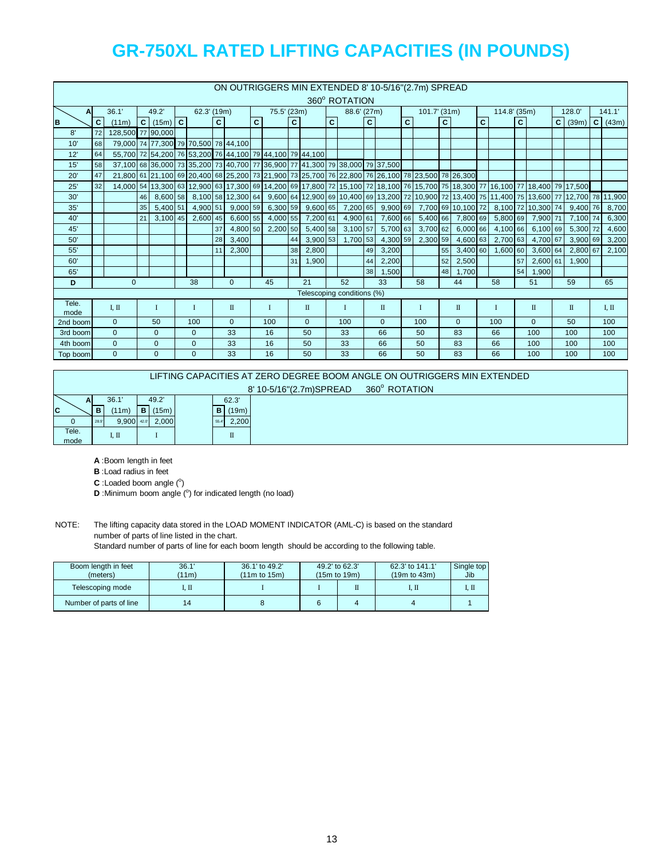|          |              |                   |    |                                                                              |                |    |              |              |             |    |                |              |                            |              |                   |              | ON OUTRIGGERS MIN EXTENDED 8' 10-5/16" (2.7m) SPREAD                                                                           |    |              |              |              |              |                                       |           |                |
|----------|--------------|-------------------|----|------------------------------------------------------------------------------|----------------|----|--------------|--------------|-------------|----|----------------|--------------|----------------------------|--------------|-------------------|--------------|--------------------------------------------------------------------------------------------------------------------------------|----|--------------|--------------|--------------|--------------|---------------------------------------|-----------|----------------|
|          |              |                   |    |                                                                              |                |    |              |              |             |    |                |              | 360° ROTATION              |              |                   |              |                                                                                                                                |    |              |              |              |              |                                       |           |                |
| A        |              | 36.1'             |    | 49.2'                                                                        | 62.3' (19m)    |    |              |              | 75.5' (23m) |    |                |              | 88.6' (27m)                |              |                   |              | $101.7'$ (31m)                                                                                                                 |    |              |              | 114.8' (35m) |              |                                       | 128.0'    | 141.1'         |
| B        | $\mathbf{C}$ | (11m)             |    | $C$ (15m) $C$                                                                |                | C  |              | $\mathbf{C}$ |             | C. |                | $\mathbf{C}$ |                            | $\mathbf{C}$ |                   | $\mathbf{C}$ |                                                                                                                                | C. |              | $\mathbf{C}$ |              | $\mathbf{C}$ |                                       | $C$ (39m) | $C \mid (43m)$ |
| 8'       | 72           | 128,500 77 90,000 |    |                                                                              |                |    |              |              |             |    |                |              |                            |              |                   |              |                                                                                                                                |    |              |              |              |              |                                       |           |                |
| 10'      | 68           |                   |    | 79,000 74 77,300 79 70,500 78 44,100                                         |                |    |              |              |             |    |                |              |                            |              |                   |              |                                                                                                                                |    |              |              |              |              |                                       |           |                |
| 12'      | 64           |                   |    | 55,700 72 54,200 76 53,200 76 44,100 79 44,100 79 44,100                     |                |    |              |              |             |    |                |              |                            |              |                   |              |                                                                                                                                |    |              |              |              |              |                                       |           |                |
| 15'      | 58           |                   |    | 37,100 68 36,000 73 35,200 73 40,700 77 36,900 77 41,300 79 38,000 79 37,500 |                |    |              |              |             |    |                |              |                            |              |                   |              |                                                                                                                                |    |              |              |              |              |                                       |           |                |
| 20'      | 47           |                   |    |                                                                              |                |    |              |              |             |    |                |              |                            |              |                   |              | 21,800 61 21,100 69 20,400 68 25,200 73 21,900 73 25,700 76 22,800 76 26,100 78 23,500 78 26,300                               |    |              |              |              |              |                                       |           |                |
| 25'      | 32           |                   |    |                                                                              |                |    |              |              |             |    |                |              |                            |              |                   |              | 14,000 54 13,300 63 12,900 63 17,300 69 14,200 69 17,800 72 15,100 72 18,100 76 15,700 75 18,300 77 16,100 77 18,400 79 17,500 |    |              |              |              |              |                                       |           |                |
| 30'      |              |                   | 46 | 8.600 58                                                                     |                |    |              |              |             |    |                |              |                            |              |                   |              | 8,100 58 12,300 64 9,600 64 12,900 69 10,400 69 13,200 72 10,900 72 13,400 75 11,400 75 13,600 77 12,700 78 11,900             |    |              |              |              |              |                                       |           |                |
| 35'      |              |                   | 35 | 5.400 51                                                                     | 4,900 51       |    | $9,000$ 59   |              | 6,300 59    |    | 9,60065        |              |                            |              | 7,200 65 9,900 69 |              |                                                                                                                                |    |              |              |              |              | 7,700 69 10,100 72 8,100 72 10,300 74 | 9.400 76  | 8,700          |
| 40'      |              |                   | 21 | $3.100$ 45                                                                   | 2,600 45       |    | 6,600 55     |              | 4,000 55    |    | 7,200 61       |              | $4,900$ 61                 |              | 7,600 66          |              |                                                                                                                                |    |              |              |              |              | 5,400 66 7,800 69 5,800 69 7,900 71   | 7,100 74  | 6,300          |
| 45'      |              |                   |    |                                                                              |                | 37 | 4,800 50     |              | $2,200$ 50  |    | $5,400$ 58     |              | $3,100$ 57                 |              | 5,700 63          |              | $3,700$ 62                                                                                                                     |    | 6,00066      |              | 4,100 66     |              | 6,100 69                              | 5,300 72  | 4,600          |
| 50'      |              |                   |    |                                                                              |                | 28 | 3,400        |              |             | 44 | $3,900$ 53     |              | 1,700 53                   |              | 4,300 59          |              | 2,300 59                                                                                                                       |    | $4,600$ 63   |              | 2,700 63     |              | 4,700 67                              | 3,900 69  | 3,200          |
| 55'      |              |                   |    |                                                                              |                | 11 | 2,300        |              |             | 38 | 2,800          |              |                            | 49           | 3,200             |              |                                                                                                                                | 55 | $3,400$ 60   |              | 1,600 60     |              | 3,600 64                              | 2,800 67  | 2,100          |
| 60'      |              |                   |    |                                                                              |                |    |              |              |             | 31 | 1,900          |              |                            | 44           | 2,200             |              |                                                                                                                                | 52 | 2,500        |              |              | 57           | $2,600$ 61                            | 1.900     |                |
| 65'      |              |                   |    |                                                                              |                |    |              |              |             |    |                |              |                            | 38           | 1,500             |              |                                                                                                                                | 48 | 1.700        |              |              | 54           | 1,900                                 |           |                |
| D        |              | $\mathbf{0}$      |    |                                                                              | 38             |    | $\mathbf{0}$ |              | 45          |    | 21             |              | 52                         |              | 33                |              | 58                                                                                                                             |    | 44           |              | 58           |              | 51                                    | 59        | 65             |
|          |              |                   |    |                                                                              |                |    |              |              |             |    |                |              | Telescoping conditions (%) |              |                   |              |                                                                                                                                |    |              |              |              |              |                                       |           |                |
| Tele.    |              | I, II             |    | I                                                                            | $\mathbf I$    |    | $\mathbb{I}$ |              | I           |    | П              |              | L                          |              | $\mathbf{I}$      |              | $\bf{I}$                                                                                                                       |    | $\mathbf{I}$ |              | $\mathbf I$  |              | $\mathbb{I}$                          | П         | LП             |
| mode     |              |                   |    |                                                                              |                |    |              |              |             |    |                |              |                            |              |                   |              |                                                                                                                                |    |              |              |              |              |                                       |           |                |
| 2nd boom |              | $\mathbf{0}$      |    | 50                                                                           | 100            |    | $\mathbf{0}$ |              | 100         |    | $\overline{0}$ |              | 100                        |              | $\mathbf{0}$      |              | 100                                                                                                                            |    | $\mathbf{0}$ |              | 100          |              | $\mathbf{0}$                          | 50        | 100            |
| 3rd boom |              | $\overline{0}$    |    | $\mathbf{0}$                                                                 | $\mathbf{0}$   |    | 33           |              | 16          |    | 50             |              | 33                         |              | 66                |              | 50                                                                                                                             |    | 83           |              | 66           |              | 100                                   | 100       | 100            |
| 4th boom |              | $\overline{0}$    |    | $\mathbf{0}$                                                                 | $\mathbf{0}$   |    | 33           |              | 16          |    | 50             |              | 33                         |              | 66                |              | 50                                                                                                                             |    | 83           |              | 66           |              | 100                                   | 100       | 100            |
| Top boom |              | $\overline{0}$    |    | $\mathbf{0}$                                                                 | $\overline{0}$ |    | 33           |              | 16          |    | 50             |              | 33                         |              | 66                |              | 50                                                                                                                             |    | 83           |              | 66           |              | 100                                   | 100       | 100            |

|             |      |            |   |       |      |       | LIFTING CAPACITIES AT ZERO DEGREE BOOM ANGLE ON OUTRIGGERS MIN EXTENDED |
|-------------|------|------------|---|-------|------|-------|-------------------------------------------------------------------------|
|             |      |            |   |       |      |       | 360° ROTATION<br>8' 10-5/16"(2.7m)SPREAD                                |
| Al          |      | 36.1'      |   | 49.2  |      | 62.3' |                                                                         |
| $\mathbf c$ | в    | (11m)      | в | (15m) | в    | (19m) |                                                                         |
|             | 28.9 | 9.900 42.0 |   | 2.000 | 55.4 | 2,200 |                                                                         |
| Tele.       |      | I. II      |   |       |      | п     |                                                                         |
| mode        |      |            |   |       |      |       |                                                                         |

**A** :Boom length in feet

**B** :Load radius in feet

 $C$  : Loaded boom angle  $(°)$ 

**D** :Minimum boom angle (°) for indicated length (no load)

NOTE: The lifting capacity data stored in the LOAD MOMENT INDICATOR (AML-C) is based on the standard number of parts of line listed in the chart.

Standard number of parts of line for each boom length should be according to the following table.

| Boom length in feet<br>(meters) | 36.1'<br>(11m) | 36.1' to 49.2'<br>$(11m)$ to $15m$ ) | 49.2' to 62.3'<br>$(15m)$ to $19m$ ) | 62.3' to 141.1'<br>$(19m)$ to $43m$ ) | Single top<br>Jib |
|---------------------------------|----------------|--------------------------------------|--------------------------------------|---------------------------------------|-------------------|
| Telescoping mode                | I. II          |                                      |                                      | I. II                                 | 1. II             |
| Number of parts of line         |                |                                      |                                      |                                       |                   |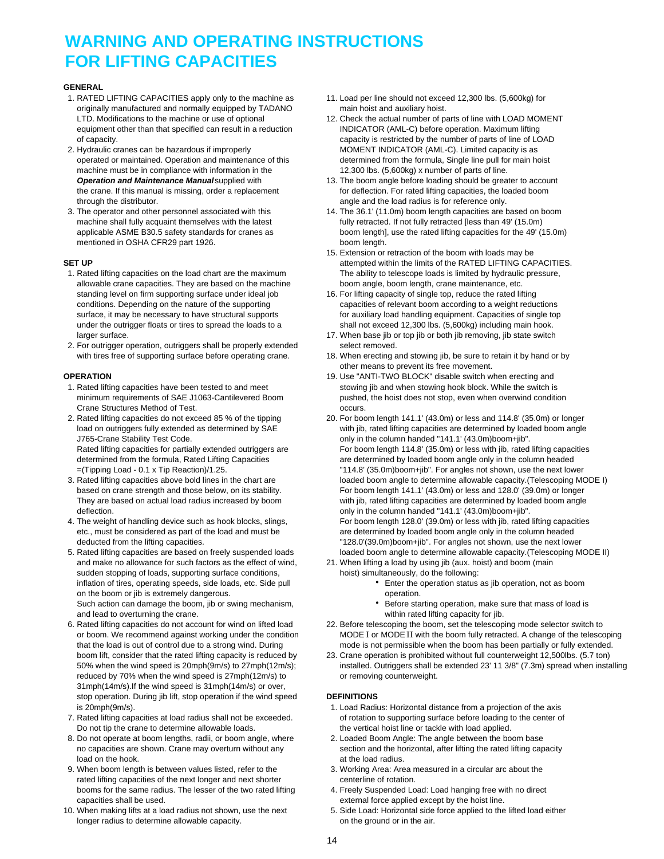## **WARNING AND OPERATING INSTRUCTIONS FOR LIFTING CAPACITIES**

### **GENERAL**

- 1. RATED LIFTING CAPACITIES apply only to the machine as 11. Load per line should not exceed 12,300 lbs. (5,600kg) for originally manufactured and normally equipped by TADANO main hoist and auxiliary hoist. equipment other than that specified can result in a reduction INDICATOR (AML-C) before operation. Maximum lifting
- 2. Hydraulic cranes can be hazardous if improperly MOMENT INDICATOR (AML-C). Limited capacity is as machine must be in compliance with information in the 12,300 lbs. (5,600kg) x number of parts of line. through the distributor. The distributor of the load radius is for reference only.
- mentioned in OSHA CFR29 part 1926. boom length.

- allowable crane capacities. They are based on the machine boom angle, boom length, crane maintenance, etc. standing level on firm supporting surface under ideal job 16. For lifting capacity of single top, reduce the rated lifting under the outrigger floats or tires to spread the loads to a shall not exceed 12,300 lbs. (5,600kg) including main hook.
- 2. For outrigger operation, outriggers shall be properly extended select removed.

- Crane Structures Method of Test. **Crane Structures Method of Test.** Occurs.
- J765-Crane Stability Test Code. only in the column handed "141.1' (43.0m)boom+jib".
- deflection. **only in the column handed "141.1'** (43.0m)boom+jib".
- 
- 5. Rated lifting capacities are based on freely suspended loads loaded boom angle to determine allowable capacity.(Telescoping MODE II) and make no allowance for such factors as the effect of wind, 21. When lifting a load by using jib (aux. hoist) and boom (main sudden stopping of loads, supporting surface conditions, hoist) simultaneously, do the following: inflation of tires, operating speeds, side loads, etc. Side pull **Enter the operation status as jib operation**, not as boom on the boom or jib is extremely dangerous. The state of the boom of peration. Such action can damage the boom, jib or swing mechanism, **Buch action of the Superation** operation, make sure that mass of load is and lead to overturning the crane. within rated lifting capacity for jib.
- 6. Rated lifting capacities do not account for wind on lifted load 22. Before telescoping the boom, set the telescoping mode selector switch to that the load is out of control due to a strong wind. During mode is not permissible when the boom has been partially or fully extended. reduced by 70% when the wind speed is 27mph(12m/s) to or removing counterweight. 31mph(14m/s).If the wind speed is 31mph(14m/s) or over, stop operation. During jib lift, stop operation if the wind speed **DEFINITIONS**
- Do not tip the crane to determine allowable loads. The vertical hoist line or tackle with load applied.
- 8. Do not operate at boom lengths, radii, or boom angle, where 2. Loaded Boom Angle: The angle between the boom base load on the hook. **at the load radius.** At the load radius.
- 9. When boom length is between values listed, refer to the 3. Working Area: Area measured in a circular arc about the rated lifting capacities of the next longer and next shorter centerline of rotation. booms for the same radius. The lesser of the two rated lifting 4. Freely Suspended Load: Load hanging free with no direct capacities shall be used.<br>10. When making lifts at a load radius not shown, use the next 6. Side Load: Horizontal side force applied to the
- longer radius to determine allowable capacity. The state of the ground or in the air.
- 
- LTD. Modifications to the machine or use of optional 12. Check the actual number of parts of line with LOAD MOMENT of capacity. capacity is restricted by the number of parts of line of LOAD operated or maintained. Operation and maintenance of this determined from the formula, Single line pull for main hoist
- *Operation and Maintenance Manual* supplied with 13. The boom angle before loading should be greater to account the crane. If this manual is missing, order a replacement for deflection. For rated lifting capacities, the loaded boom
- 3. The operator and other personnel associated with this 14. The 36.1' (11.0m) boom length capacities are based on boom machine shall fully acquaint themselves with the latest fully retracted. If not fully retracted [less than 49' (15.0m) applicable ASME B30.5 safety standards for cranes as boom length], use the rated lifting capacities for the 49' (15.0m)
- 15. Extension or retraction of the boom with loads may be **SET UP SET UP EXAMPLE ATTER SET UP attempted within the limits of the RATED LIFTING CAPACITIES.** 1. Rated lifting capacities on the load chart are the maximum The ability to telescope loads is limited by hydraulic pressure,
	- conditions. Depending on the nature of the supporting capacities of relevant boom according to a weight reductions surface, it may be necessary to have structural supports for auxiliary load handling equipment. Capacities of single top
	- larger surface. 17. When base jib or top jib or both jib removing, jib state switch
	- with tires free of supporting surface before operating crane. 18. When erecting and stowing jib, be sure to retain it by hand or by other means to prevent its free movement.
- **OPERATION OPERATION 19. Use "ANTI-TWO BLOCK"** disable switch when erecting and 1. Rated lifting capacities have been tested to and meet stowing jib and when stowing hook block. While the switch is minimum requirements of SAE J1063-Cantilevered Boom pushed, the hoist does not stop, even when overwind condition
- 2. Rated lifting capacities do not exceed 85 % of the tipping 20. For boom length 141.1' (43.0m) or less and 114.8' (35.0m) or longer load on outriggers fully extended as determined by SAE with jib, rated lifting capacities are determined by loaded boom angle Rated lifting capacities for partially extended outriggers are For boom length 114.8' (35.0m) or less with jib, rated lifting capacities determined from the formula, Rated Lifting Capacities are determined by loaded boom angle only in the column headed =(Tipping Load - 0.1 x Tip Reaction)/1.25. "114.8' (35.0m)boom+jib". For angles not shown, use the next lower 3. Rated lifting capacities above bold lines in the chart are loaded boom angle to determine allowable capacity.(Telescoping MODE I) based on crane strength and those below, on its stability. For boom length 141.1' (43.0m) or less and 128.0' (39.0m) or longer They are based on actual load radius increased by boom with jib, rated lifting capacities are determined by loaded boom angle 4. The weight of handling device such as hook blocks, slings, For boom length 128.0' (39.0m) or less with jib, rated lifting capacities etc., must be considered as part of the load and must be are are determined by loaded boom angle only in the column headed deducted from the lifting capacities. "128.0'(39.0m)boom+jib". For angles not shown, use the next lower
	- - -
			-
	- or boom. We recommend against working under the condition MODE I or MODE II with the boom fully retracted. A change of the telescoping
	- boom lift, consider that the rated lifting capacity is reduced by 23. Crane operation is prohibited without full counterweight 12,500lbs. (5.7 ton) 50% when the wind speed is 20mph(9m/s) to 27mph(12m/s); installed. Outriggers shall be extended 23' 11 3/8" (7.3m) spread when installing

- is 20mph(9m/s). 1. Load Radius: Horizontal distance from a projection of the axis 7. Rated lifting capacities at load radius shall not be exceeded. only of rotation to supporting surface before loading to the center of
	- no capacities are shown. Crane may overturn without any section and the horizontal, after lifting the rated lifting capacity
		-
		-
		- 5. Side Load: Horizontal side force applied to the lifted load either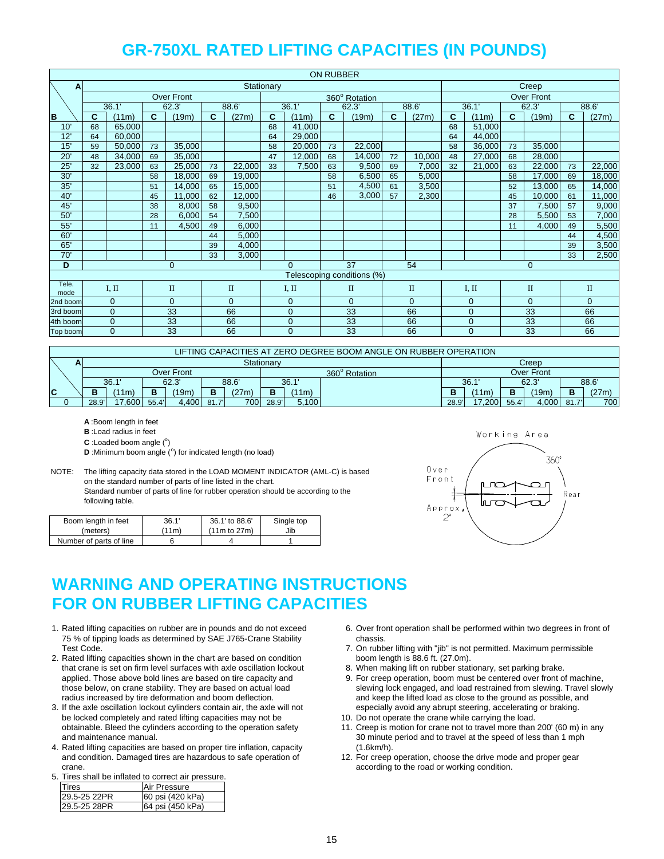|               |    |                |              |                   |    |              |            |                | <b>ON RUBBER</b> |                            |              |              |    |                |              |                   |    |              |
|---------------|----|----------------|--------------|-------------------|----|--------------|------------|----------------|------------------|----------------------------|--------------|--------------|----|----------------|--------------|-------------------|----|--------------|
| $\mathbf{A}$  |    |                |              |                   |    |              | Stationary |                |                  |                            |              |              |    |                |              | Creep             |    |              |
|               |    |                |              | <b>Over Front</b> |    |              |            |                |                  | 360° Rotation              |              |              |    |                |              | <b>Over Front</b> |    |              |
|               |    | 36.1'          |              | 62.3'             |    | 88.6         |            | 36.1'          |                  | 62.3'                      |              | 88.6'        |    | 36.1'          |              | 62.3'             |    | 88.6'        |
| B             | C  | (11m)          | $\mathbf{C}$ | 19m)              | C  | (27m)        | C          | (11m)          | C.               | (19m)                      | $\mathbf{C}$ | (27m)        | C  | (11m)          | $\mathbf{C}$ | 19m)              | C  | (27m)        |
| 10'           | 68 | 65,000         |              |                   |    |              | 68         | 41,000         |                  |                            |              |              | 68 | 51,000         |              |                   |    |              |
| 12'           | 64 | 60,000         |              |                   |    |              | 64         | 29,000         |                  |                            |              |              | 64 | 44,000         |              |                   |    |              |
| 15'           | 59 | 50,000         | 73           | 35,000            |    |              | 58         | 20,000         | 73               | 22,000                     |              |              | 58 | 36,000         | 73           | 35,000            |    |              |
| 20            | 48 | 34,000         | 69           | 35,000            |    |              | 47         | 12,000         | 68               | 14,000                     | 72           | 10,000       | 48 | 27,000         | 68           | 28,000            |    |              |
| 25'           | 32 | 23,000         | 63           | 25,000            | 73 | 22,000       | 33         | 7,500          | 63               | 9,500                      | 69           | 7,000        | 32 | 21,000         | 63           | 22,000            | 73 | 22,000       |
| 30'           |    |                | 58           | 18,000            | 69 | 19,000       |            |                | 58               | 6,500                      | 65           | 5,000        |    |                | 58           | 17,000            | 69 | 18,000       |
| 35'           |    |                | 51           | 14,000            | 65 | 15,000       |            |                | 51               | 4,500                      | 61           | 3,500        |    | 52             |              | 13,000            | 65 | 14,000       |
| 40'           |    |                | 45           | 11,000            | 62 | 12,000       |            |                | 46               | 3,000                      | 57           | 2,300        |    | 45             |              | 10,000            | 61 | 11,000       |
| 45'           |    |                | 38           | 8,000             | 58 | 9,500        |            |                |                  |                            |              |              |    | 37             |              | 7,500             | 57 | 9,000        |
| 50'           |    |                | 28           | 6,000             | 54 | 7,500        |            |                |                  |                            |              |              |    |                | 28           | 5,500             | 53 | 7,000        |
| 55'           |    |                | 11           | 4,500             | 49 | 6,000        |            |                |                  |                            |              |              |    |                | 11           | 4,000             | 49 | 5,500        |
| 60'           |    |                |              |                   | 44 | 5,000        |            |                |                  |                            |              |              |    |                |              |                   | 44 | 4,500        |
| 65'           |    |                |              |                   | 39 | 4,000        |            |                |                  |                            |              |              |    |                |              |                   | 39 | 3,500        |
| 70'           |    |                |              |                   | 33 | 3,000        |            |                |                  |                            |              |              |    |                |              |                   | 33 | 2,500        |
| D             |    |                |              | $\Omega$          |    |              |            | $\Omega$       |                  | 37                         |              | 54           |    |                |              | 0                 |    |              |
|               |    |                |              |                   |    |              |            |                |                  | Telescoping conditions (%) |              |              |    |                |              |                   |    |              |
| Tele.<br>mode |    | I, II          |              | $\mathbf{I}$      |    | $\mathbf{I}$ |            | I, II          |                  | $\mathbf{I}$               |              | $\mathbf{I}$ |    | I, II          |              | $\mathbf{I}$      |    | $\mathbf{I}$ |
| 2nd boom      |    | $\mathbf{0}$   |              | $\Omega$          |    | $\Omega$     |            | $\Omega$       |                  | $\Omega$                   |              | $\Omega$     |    | $\overline{0}$ |              | $\Omega$          |    | $\Omega$     |
| 3rd boom      |    | $\mathbf{0}$   |              | 33                |    | 66           |            | $\overline{0}$ |                  | 33                         |              | 66           |    | $\mathbf{0}$   |              | 33                |    | 66           |
| 4th boom      |    | $\mathbf 0$    |              | 33                |    | 66           |            | $\overline{0}$ |                  | 33                         |              | 66           |    | $\mathbf{0}$   |              | $\overline{33}$   |    | 66           |
| Top boom      |    | $\overline{0}$ |              | 33                |    | 66           |            | $\Omega$       |                  | 33                         |              | 66           |    | $\Omega$       |              | 33                |    | 66           |

|                |   |       |        |       |            |       |       |               |       | LIFTING CAPACITIES AT ZERO DEGREE BOOM ANGLE ON RUBBER OPERATION |       |            |       |       |      |       |
|----------------|---|-------|--------|-------|------------|-------|-------|---------------|-------|------------------------------------------------------------------|-------|------------|-------|-------|------|-------|
|                | А |       |        |       |            |       |       | Stationarv    |       |                                                                  |       |            |       | Creep |      |       |
|                |   |       |        |       | Over Front |       |       | 360° Rotation |       |                                                                  |       | Over Front |       |       |      |       |
|                |   |       | 36.1'  |       | 62.3'      |       | 88.6' |               | 36.1  |                                                                  |       | 36.1       |       | 62.3' |      | 88.6  |
| $\overline{c}$ |   | В     | (11m)  | в     | (19m)      | в     | (27m) |               | (11m) |                                                                  |       | (11m)      | в     | (19m) | B    | (27m) |
|                |   | 28.9' | 17.600 | 55.4' | 4.400      | 81.7' | 700   | 28.9'         | 5.100 |                                                                  | 28.9' | 17,200     | 55.4' | 4.000 | 81.7 | 700   |

**A** :Boom length in feet

**B** :Load radius in feet

 $C$  : Loaded boom angle  $(°)$ 

**D** :Minimum boom angle (°) for indicated length (no load)

NOTE: The lifting capacity data stored in the LOAD MOMENT INDICATOR (AML-C) is based on the standard number of parts of line listed in the chart. Standard number of parts of line for rubber operation should be according to the

following table.

| Boom length in feet     | 36.1' | 36.1' to 88.6' | Single top |
|-------------------------|-------|----------------|------------|
| (meters)                | '11m) | (11m to 27m)   | Jib        |
| Number of parts of line |       |                |            |



# **WARNING AND OPERATING INSTRUCTIONS FOR ON RUBBER LIFTING CAPACITIES**

- 75 % of tipping loads as determined by SAE J765-Crane Stability chassis.
- 2. Rated lifting capacities shown in the chart are based on condition boom length is 88.6 ft. (27.0m).<br>
that crane is set on firm level surfaces with axle oscillation lockout 8. When making lift on rubber stationary, set p that crane is set on firm level surfaces with axle oscillation lockout
- 3. If the axle oscillation lockout cylinders contain air, the axle will not especially avoid any abrupt steering, accelerating or braking. be locked completely and rated lifting capacities may not be 10. Do not operate the crane while carrying the load.<br>
obtainable. Bleed the cylinders according to the operation safety 11. Creep is motion for crane not to tra
- 4. Rated lifting capacities are based on proper tire inflation, capacity (1.6km/h).<br>and condition. Damaged tires are hazardous to safe operation of 12. For creep crane. according to the road or working condition.
- 5. Tires shall be inflated to correct air pressure.

| l ires       | <b>Air Pressure</b> |
|--------------|---------------------|
| 29.5-25 22PR | 60 psi (420 kPa)    |
| 29.5-25 28PR | 64 psi (450 kPa)    |

- 1. Rated lifting capacities on rubber are in pounds and do not exceed 6. Over front operation shall be performed within two degrees in front of
	- Test Code. 7. On rubber lifting with "jib" is not permitted. Maximum permissible
		-
	- applied. Those above bold lines are based on tire capacity and <br>those below, on crane stability. They are based on actual load section of the viring lock engaged, and load restrained from slewing. Travel slove slewing lock engaged, and load restrained from slewing. Travel slowly radius increased by tire deformation and boom deflection. The same of the lifted load as close to the ground as possible, and
		-
	- 11. Creep is motion for crane not to travel more than 200' (60 m) in any and maintenance manual. 30 minute period and to travel at the speed of less than 1 mph
		- 12. For creep operation, choose the drive mode and proper gear